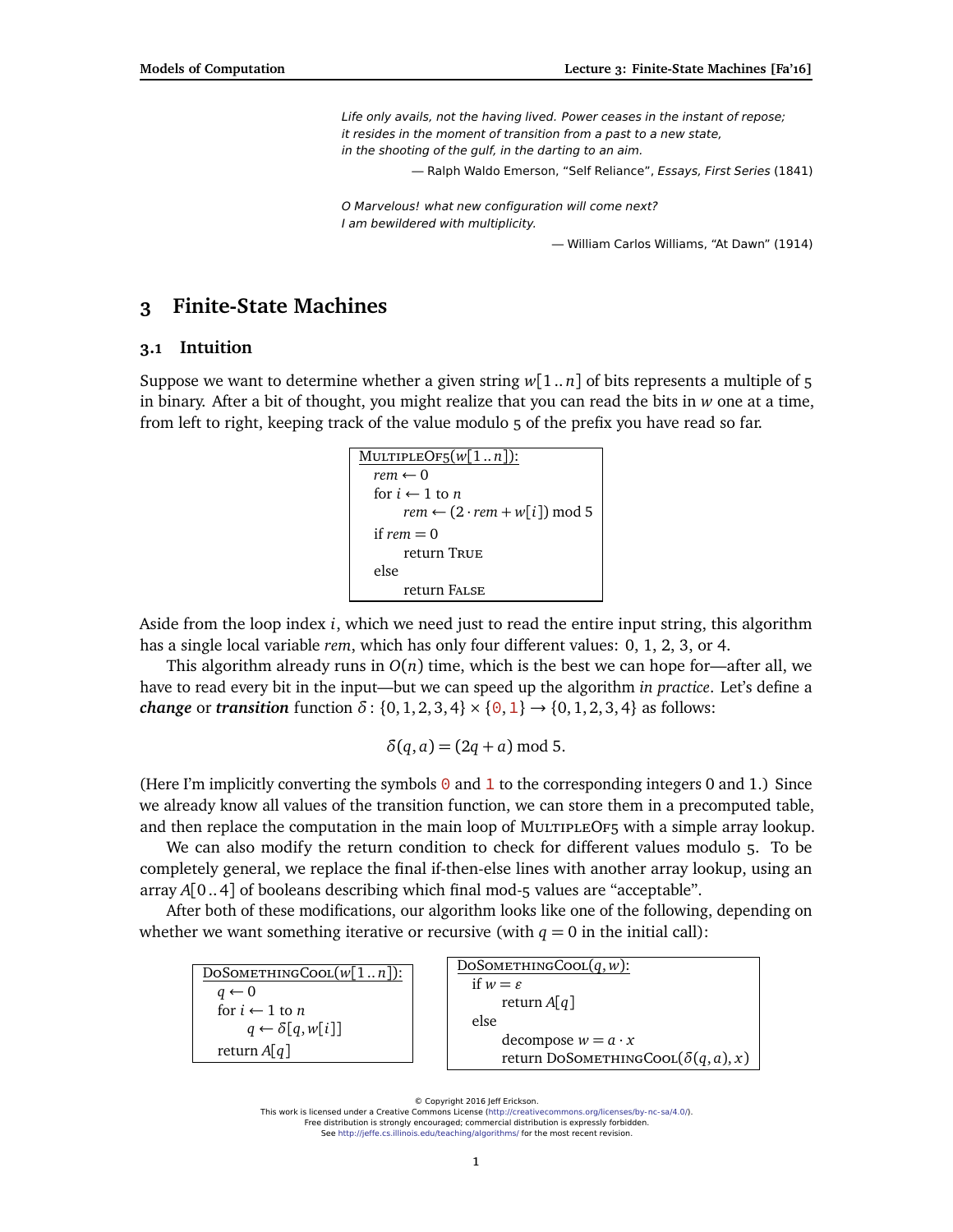Life only avails, not the having lived. Power ceases in the instant of repose; it resides in the moment of transition from a past to a new state, in the shooting of the gulf, in the darting to an aim. — Ralph Waldo Emerson, "Self Reliance", Essays, First Series (1841)

O Marvelous! what new configuration will come next? I am bewildered with multiplicity.

— William Carlos Williams, "At Dawn" (1914)

## **3 Finite-State Machines**

## **3.1 Intuition**

Suppose we want to determine whether a given string  $w[1..n]$  of bits represents a multiple of 5 in binary. After a bit of thought, you might realize that you can read the bits in *w* one at a time, from left to right, keeping track of the value modulo 5 of the prefix you have read so far.

```
MULTIPLEOF5(w[1..n]):
  rem \leftarrow 0for i \leftarrow 1 to n
        rem \leftarrow (2 \cdot rem + w[i]) \mod 5if rem = 0return True
  else
        return False
```
Aside from the loop index *i*, which we need just to read the entire input string, this algorithm has a single local variable *rem*, which has only four different values: 0, 1, 2, 3, or 4.

This algorithm already runs in  $O(n)$  time, which is the best we can hope for—after all, we have to read every bit in the input—but we can speed up the algorithm *in practice*. Let's define a *change* or *transition* function  $\delta$ : {0, 1, 2, 3, 4}  $\times$  {0, 1}  $\rightarrow$  {0, 1, 2, 3, 4} as follows:

$$
\delta(q, a) = (2q + a) \bmod 5.
$$

(Here I'm implicitly converting the symbols  $\Theta$  and  $\mathbf 1$  to the corresponding integers 0 and 1.) Since we already know all values of the transition function, we can store them in a precomputed table, and then replace the computation in the main loop of MULTIPLEOF5 with a simple array lookup.

We can also modify the return condition to check for different values modulo 5. To be completely general, we replace the final if-then-else lines with another array lookup, using an array *A*[0 .. 4] of booleans describing which final mod-5 values are "acceptable".

After both of these modifications, our algorithm looks like one of the following, depending on whether we want something iterative or recursive (with  $q = 0$  in the initial call):

| DOSOMETHINGCOOL $(w[1n])$ :                     | DOSOMETHINGCOOL $(q, w)$ :                  |
|-------------------------------------------------|---------------------------------------------|
| $q \leftarrow 0$                                | if $w = \varepsilon$                        |
| for $i \leftarrow 1$ to n                       | return $A[q]$<br>else                       |
| $q \leftarrow \delta[q, w[i]]$<br>return $A[q]$ | decompose $w = a \cdot x$                   |
|                                                 | return DoSOMETHINGCOOL( $\delta(q, a), x$ ) |

© Copyright 2016 Jeff Erickson.

This work is licensed under a Creative Commons License [\(http://creativecommons.org/licenses/by-nc-sa/4.0/\)](http://creativecommons.org/licenses/by-nc-sa/4.0/). Free distribution is strongly encouraged; commercial distribution is expressly forbidden. See <http://jeffe.cs.illinois.edu/teaching/algorithms/> for the most recent revision.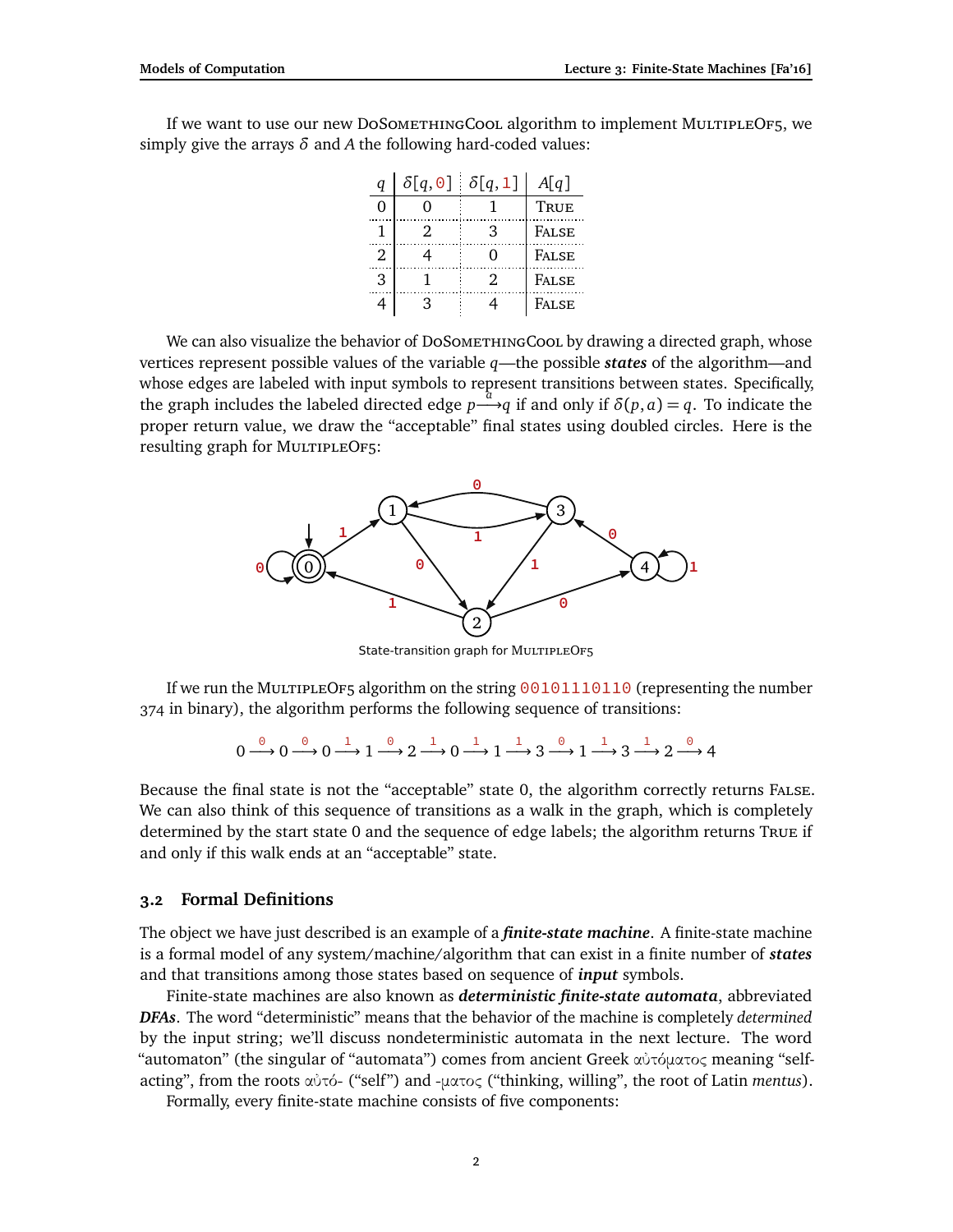If we want to use our new DoSomeTHINGCool algorithm to implement MULTIPLEOF5, we simply give the arrays *δ* and *A* the following hard-coded values:

| q              | $\delta[q, 0]$ | $\delta[q,1]$ | A[q]         |  |
|----------------|----------------|---------------|--------------|--|
| 0              | 0              |               | TRUE         |  |
|                | 2              | 3             | FALSE        |  |
| $\overline{2}$ |                |               | FALSE        |  |
| 3              |                | 2             | FALSE        |  |
| 4              | J.             |               | <b>FALSE</b> |  |

We can also visualize the behavior of DoSomeTHINGCOOL by drawing a directed graph, whose vertices represent possible values of the variable *q*—the possible *states* of the algorithm—and whose edges are labeled with input symbols to represent transitions between states. Specifically, the graph includes the labeled directed edge  $p \stackrel{a}{\longrightarrow} q$  if and only if  $\delta(p, a) = q$ . To indicate the proper return value, we draw the "acceptable" final states using doubled circles. Here is the resulting graph for MULTIPLEOF5:



State-transition graph for MULTIPLEOF5

If we run the MULTIPLEOF5 algorithm on the string  $00101110110$  (representing the number 374 in binary), the algorithm performs the following sequence of transitions:

$$
0\overset{\theta}{\longrightarrow} 0\overset{\theta}{\longrightarrow} 0\overset{1}{\longrightarrow} 1\overset{\theta}{\longrightarrow} 2\overset{1}{\longrightarrow} 0\overset{1}{\longrightarrow} 1\overset{1}{\longrightarrow} 3\overset{\theta}{\longrightarrow} 1\overset{1}{\longrightarrow} 3\overset{1}{\longrightarrow} 2\overset{\theta}{\longrightarrow} 4
$$

Because the final state is not the "acceptable" state 0, the algorithm correctly returns False. We can also think of this sequence of transitions as a walk in the graph, which is completely determined by the start state 0 and the sequence of edge labels; the algorithm returns True if and only if this walk ends at an "acceptable" state.

#### **3.2 Formal Definitions**

The object we have just described is an example of a *finite-state machine*. A finite-state machine is a formal model of any system/machine/algorithm that can exist in a finite number of *states* and that transitions among those states based on sequence of *input* symbols.

Finite-state machines are also known as *deterministic finite-state automata*, abbreviated *DFAs*. The word "deterministic" means that the behavior of the machine is completely *determined* by the input string; we'll discuss nondeterministic automata in the next lecture. The word "automaton" (the singular of "automata") comes from ancient Greek αὐτόματος meaning "selfacting", from the roots αὐτό- ("self") and -ματος ("thinking, willing", the root of Latin *mentus*).

Formally, every finite-state machine consists of five components: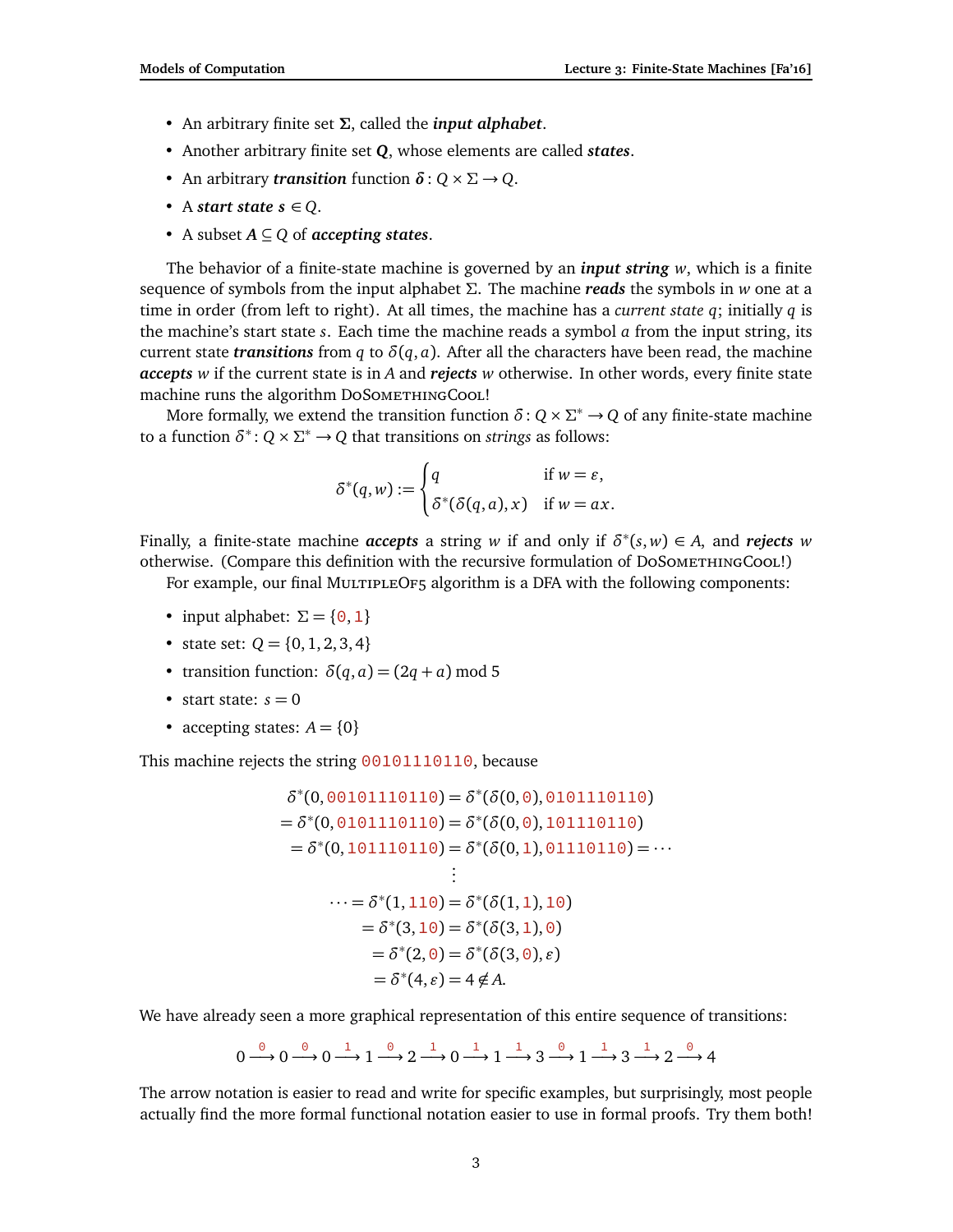- An arbitrary finite set *Σ*, called the *input alphabet*.
- Another arbitrary finite set *Q*, whose elements are called *states*.
- An arbitrary *transition* function  $\delta$ :  $Q \times \Sigma \rightarrow Q$ .
- A *start state*  $s \in Q$ .
- A subset *A* ⊆ *Q* of *accepting states*.

The behavior of a finite-state machine is governed by an *input string w*, which is a finite sequence of symbols from the input alphabet *Σ*. The machine *reads* the symbols in *w* one at a time in order (from left to right). At all times, the machine has a *current state q*; initially *q* is the machine's start state *s*. Each time the machine reads a symbol *a* from the input string, its current state *transitions* from *q* to  $\delta(q, a)$ . After all the characters have been read, the machine *accepts w* if the current state is in *A* and *rejects w* otherwise. In other words, every finite state machine runs the algorithm DoSOMETHINGCOOL!

More formally, we extend the transition function  $\delta$  :  $Q \times \Sigma^* \to Q$  of any finite-state machine to a function  $\delta^*$ :  $Q \times \Sigma^* \rightarrow Q$  that transitions on *strings* as follows:

$$
\delta^*(q, w) := \begin{cases} q & \text{if } w = \varepsilon, \\ \delta^*(\delta(q, a), x) & \text{if } w = a \cdot \varepsilon. \end{cases}
$$

Finally, a finite-state machine *accepts* a string *w* if and only if  $\delta^*(s, w) \in A$ , and *rejects w* otherwise. (Compare this definition with the recursive formulation of DoSomeTHINGCool.!)

For example, our final MULTIPLEOF5 algorithm is a DFA with the following components:

- input alphabet:  $\Sigma = \{0, 1\}$
- state set:  $Q = \{0, 1, 2, 3, 4\}$
- transition function:  $\delta(q, a) = (2q + a) \text{ mod } 5$
- start state:  $s = 0$
- accepting states:  $A = \{0\}$

This machine rejects the string 00101110110, because

$$
\delta^*(0, 00101110110) = \delta^*(\delta(0, 0), 0101110110)
$$
  
\n
$$
= \delta^*(0, 0101110110) = \delta^*(\delta(0, 0), 101110110)
$$
  
\n
$$
= \delta^*(0, 101110110) = \delta^*(\delta(0, 1), 01110110) = \cdots
$$
  
\n
$$
\vdots
$$
  
\n
$$
\cdots = \delta^*(1, 110) = \delta^*(\delta(1, 1), 10)
$$
  
\n
$$
= \delta^*(3, 10) = \delta^*(\delta(3, 1), 0)
$$
  
\n
$$
= \delta^*(2, 0) = \delta^*(\delta(3, 0), \varepsilon)
$$
  
\n
$$
= \delta^*(4, \varepsilon) = 4 \notin A.
$$

We have already seen a more graphical representation of this entire sequence of transitions:

 $0 \xrightarrow{\theta} 0 \xrightarrow{\theta} 0 \xrightarrow{1} 1 \xrightarrow{\theta} 2 \xrightarrow{1} 0 \xrightarrow{1} 1 \xrightarrow{1} 3 \xrightarrow{\theta} 1 \xrightarrow{1} 3 \xrightarrow{1} 2 \xrightarrow{\theta} 4$ 

The arrow notation is easier to read and write for specific examples, but surprisingly, most people actually find the more formal functional notation easier to use in formal proofs. Try them both!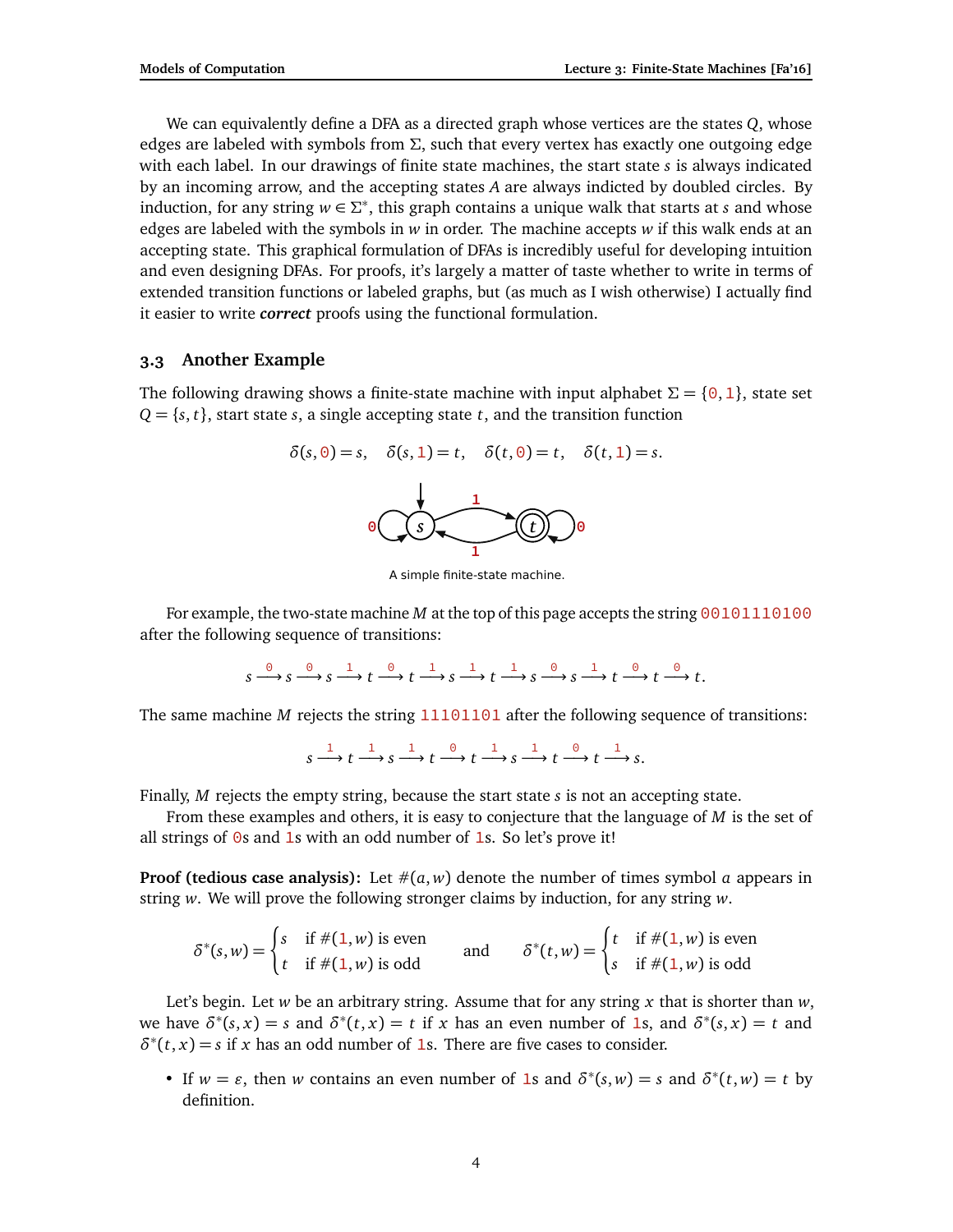We can equivalently define a DFA as a directed graph whose vertices are the states *Q*, whose edges are labeled with symbols from *Σ*, such that every vertex has exactly one outgoing edge with each label. In our drawings of finite state machines, the start state *s* is always indicated by an incoming arrow, and the accepting states *A* are always indicted by doubled circles. By induction, for any string  $w \in \Sigma^*$ , this graph contains a unique walk that starts at *s* and whose edges are labeled with the symbols in *w* in order. The machine accepts *w* if this walk ends at an accepting state. This graphical formulation of DFAs is incredibly useful for developing intuition and even designing DFAs. For proofs, it's largely a matter of taste whether to write in terms of extended transition functions or labeled graphs, but (as much as I wish otherwise) I actually find it easier to write *correct* proofs using the functional formulation.

#### **3.3 Another Example**

The following drawing shows a finite-state machine with input alphabet  $\Sigma = \{0, 1\}$ , state set  $Q = \{s, t\}$ , start state *s*, a single accepting state *t*, and the transition function

$$
\delta(s, \theta) = s, \quad \delta(s, \mathbf{1}) = t, \quad \delta(t, \theta) = t, \quad \delta(t, \mathbf{1}) = s.
$$

A simple finite-state machine.

For example, the two-state machine *M* at the top of this page accepts the string 00101110100 after the following sequence of transitions:

$$
s \xrightarrow{\theta} s \xrightarrow{\theta} s \xrightarrow{1} t \xrightarrow{\theta} t \xrightarrow{1} s \xrightarrow{1} t \xrightarrow{1} s \xrightarrow{\theta} s \xrightarrow{1} t \xrightarrow{\theta} t \xrightarrow{\theta} t.
$$

The same machine *M* rejects the string 11101101 after the following sequence of transitions:

$$
s \xrightarrow{1} t \xrightarrow{1} s \xrightarrow{1} t \xrightarrow{0} t \xrightarrow{1} s \xrightarrow{1} t \xrightarrow{0} t \xrightarrow{1} s.
$$

Finally, *M* rejects the empty string, because the start state *s* is not an accepting state.

From these examples and others, it is easy to conjecture that the language of *M* is the set of all strings of  $\Theta$ s and 1s with an odd number of 1s. So let's prove it!

**Proof (tedious case analysis):** Let  $\#(a, w)$  denote the number of times symbol *a* appears in string *w*. We will prove the following stronger claims by induction, for any string *w*.

$$
\delta^*(s, w) = \begin{cases} s & \text{if } \#(1, w) \text{ is even} \\ t & \text{if } \#(1, w) \text{ is odd} \end{cases} \quad \text{and} \quad \delta^*(t, w) = \begin{cases} t & \text{if } \#(1, w) \text{ is even} \\ s & \text{if } \#(1, w) \text{ is odd} \end{cases}
$$

Let's begin. Let *w* be an arbitrary string. Assume that for any string *x* that is shorter than *w*, we have  $\delta^*(s, x) = s$  and  $\delta^*(t, x) = t$  if *x* has an even number of 1s, and  $\delta^*(s, x) = t$  and  $\delta^*(t, x) = s$  if *x* has an odd number of 1s. There are five cases to consider.

• If  $w = \varepsilon$ , then *w* contains an even number of 1s and  $\delta^*(s, w) = s$  and  $\delta^*(t, w) = t$  by definition.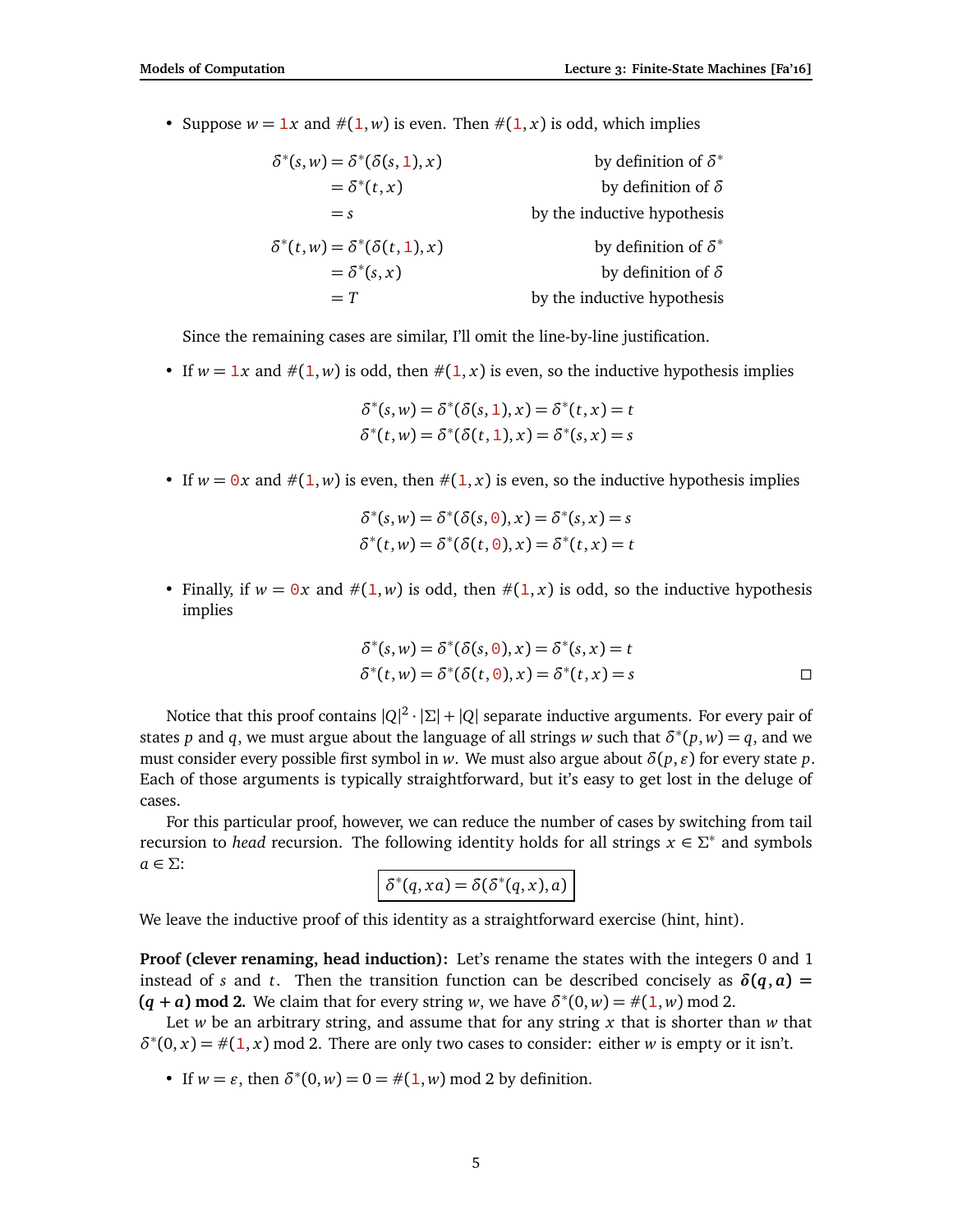• Suppose  $w = \mathbf{1}x$  and  $\#(\mathbf{1}, w)$  is even. Then  $\#(\mathbf{1}, x)$  is odd, which implies

| by definition of $\delta^*$ | $\delta^*(s, w) = \delta^*(\delta(s, 1), x)$ |
|-----------------------------|----------------------------------------------|
| by definition of $\delta$   | $=\delta^*(t,x)$                             |
| by the inductive hypothesis | $=$ s                                        |
| by definition of $\delta^*$ | $\delta^*(t, w) = \delta^*(\delta(t, 1), x)$ |
| by definition of $\delta$   | $=\delta^*(s,x)$                             |
| by the inductive hypothesis | $= T$                                        |

Since the remaining cases are similar, I'll omit the line-by-line justification.

• If  $w = 1x$  and  $\#(1, w)$  is odd, then  $\#(1, x)$  is even, so the inductive hypothesis implies

$$
\delta^*(s, w) = \delta^*(\delta(s, 1), x) = \delta^*(t, x) = t
$$
  

$$
\delta^*(t, w) = \delta^*(\delta(t, 1), x) = \delta^*(s, x) = s
$$

• If  $w = 0x$  and  $\#(1, w)$  is even, then  $\#(1, x)$  is even, so the inductive hypothesis implies

$$
\delta^*(s, w) = \delta^*(\delta(s, 0), x) = \delta^*(s, x) = s
$$
  

$$
\delta^*(t, w) = \delta^*(\delta(t, 0), x) = \delta^*(t, x) = t
$$

• Finally, if  $w = 0x$  and  $\#(1, w)$  is odd, then  $\#(1, x)$  is odd, so the inductive hypothesis implies

$$
\delta^*(s, w) = \delta^*(\delta(s, 0), x) = \delta^*(s, x) = t
$$
  

$$
\delta^*(t, w) = \delta^*(\delta(t, 0), x) = \delta^*(t, x) = s
$$

Notice that this proof contains |*Q*| 2 · |*Σ*| + |*Q*| separate inductive arguments. For every pair of states *p* and *q*, we must argue about the language of all strings *w* such that  $\delta^*(p, w) = q$ , and we must consider every possible first symbol in *w*. We must also argue about  $\delta(p, \varepsilon)$  for every state *p*. Each of those arguments is typically straightforward, but it's easy to get lost in the deluge of cases.

For this particular proof, however, we can reduce the number of cases by switching from tail recursion to *head* recursion. The following identity holds for all strings  $x \in \Sigma^*$  and symbols *a* ∈ *Σ*:

$$
\delta^*(q,xa) = \delta(\delta^*(q,x),a)
$$

We leave the inductive proof of this identity as a straightforward exercise (hint, hint).

**Proof (clever renaming, head induction):** Let's rename the states with the integers 0 and 1 instead of *s* and *t*. Then the transition function can be described concisely as  $\delta(q, a)$  =  $(q + a) \text{ mod } 2$ *.* We claim that for every string *w*, we have  $\delta^*(0, w) = \#(1, w) \text{ mod } 2$ *.* 

Let *w* be an arbitrary string, and assume that for any string *x* that is shorter than *w* that  $\delta^*(0, x) = \#(1, x)$  mod 2. There are only two cases to consider: either *w* is empty or it isn't.

• If  $w = \varepsilon$ , then  $\delta^*(0, w) = 0 = \#(1, w) \text{ mod } 2$  by definition.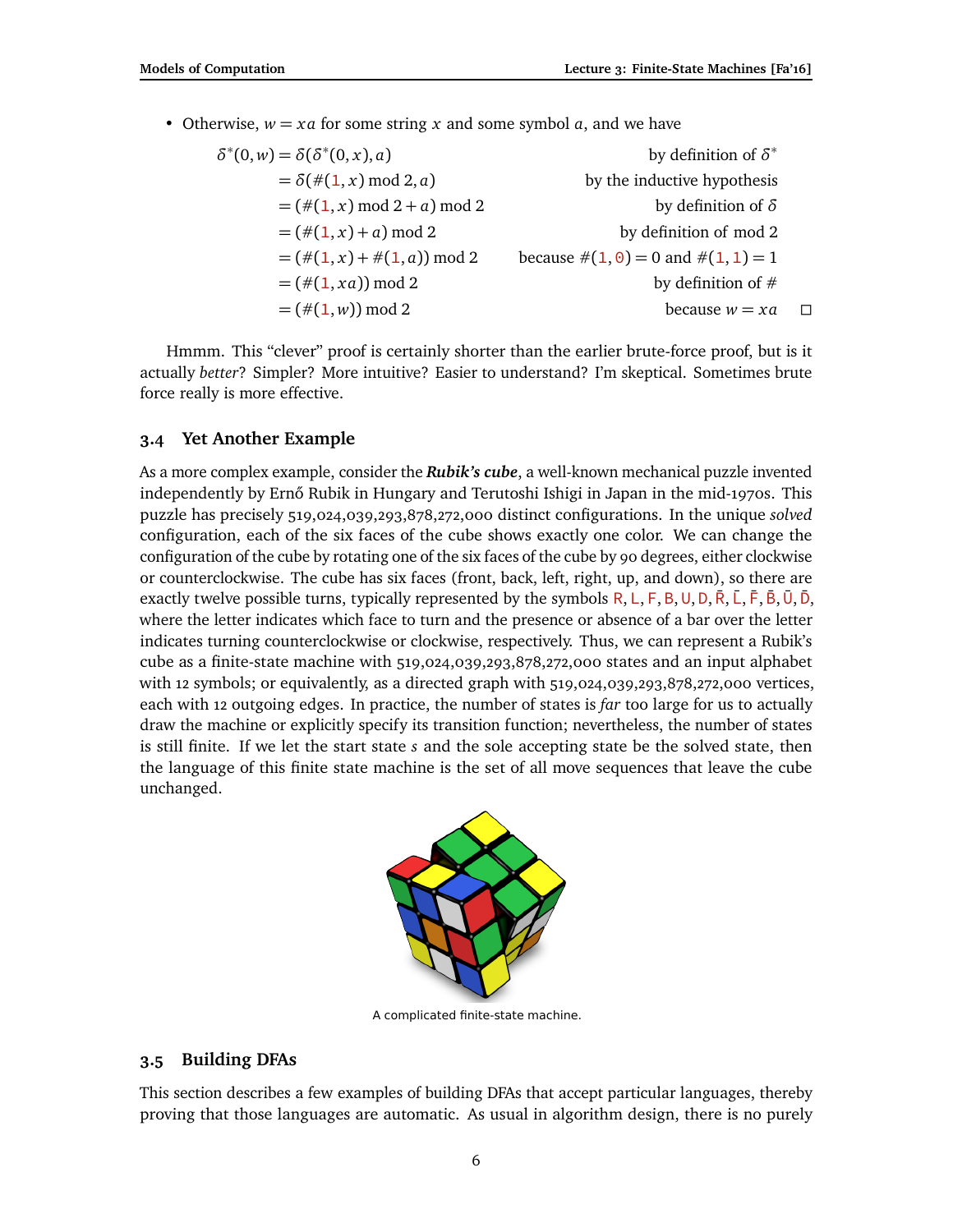• Otherwise,  $w = xa$  for some string x and some symbol a, and we have

| $\delta^*(0, w) = \delta(\delta^*(0, x), a)$ | by definition of $\delta^*$               |  |
|----------------------------------------------|-------------------------------------------|--|
| $=\delta(\#(1, x) \mod 2, a)$                | by the inductive hypothesis               |  |
| $=$ (#(1, x) mod 2 + a) mod 2                | by definition of $\delta$                 |  |
| $= (\#(1, x) + a) \mod 2$                    | by definition of mod 2                    |  |
| $= (\#(1, x) + \#(1, a)) \mod 2$             | because $\#(1, 0) = 0$ and $\#(1, 1) = 1$ |  |
| $=$ (#(1, xa)) mod 2                         | by definition of $#$                      |  |
| $= (\#(1,w)) \bmod 2$                        | because $w = xa$                          |  |

Hmmm. This "clever" proof is certainly shorter than the earlier brute-force proof, but is it actually *better*? Simpler? More intuitive? Easier to understand? I'm skeptical. Sometimes brute force really is more effective.

## **3.4 Yet Another Example**

As a more complex example, consider the *Rubik's cube*, a well-known mechanical puzzle invented independently by Ernő Rubik in Hungary and Terutoshi Ishigi in Japan in the mid-1970s. This puzzle has precisely 519,024,039,293,878,272,000 distinct configurations. In the unique *solved* configuration, each of the six faces of the cube shows exactly one color. We can change the configuration of the cube by rotating one of the six faces of the cube by 90 degrees, either clockwise or counterclockwise. The cube has six faces (front, back, left, right, up, and down), so there are exactly twelve possible turns, typically represented by the symbols R, L, F, B, U, D, R, L, F, B, U, D, where the letter indicates which face to turn and the presence or absence of a bar over the letter indicates turning counterclockwise or clockwise, respectively. Thus, we can represent a Rubik's cube as a finite-state machine with 519,024,039,293,878,272,000 states and an input alphabet with 12 symbols; or equivalently, as a directed graph with 519,024,039,293,878,272,000 vertices, each with 12 outgoing edges. In practice, the number of states is *far* too large for us to actually draw the machine or explicitly specify its transition function; nevertheless, the number of states is still finite. If we let the start state *s* and the sole accepting state be the solved state, then the language of this finite state machine is the set of all move sequences that leave the cube unchanged.



A complicated finite-state machine.

## **3.5 Building DFAs**

This section describes a few examples of building DFAs that accept particular languages, thereby proving that those languages are automatic. As usual in algorithm design, there is no purely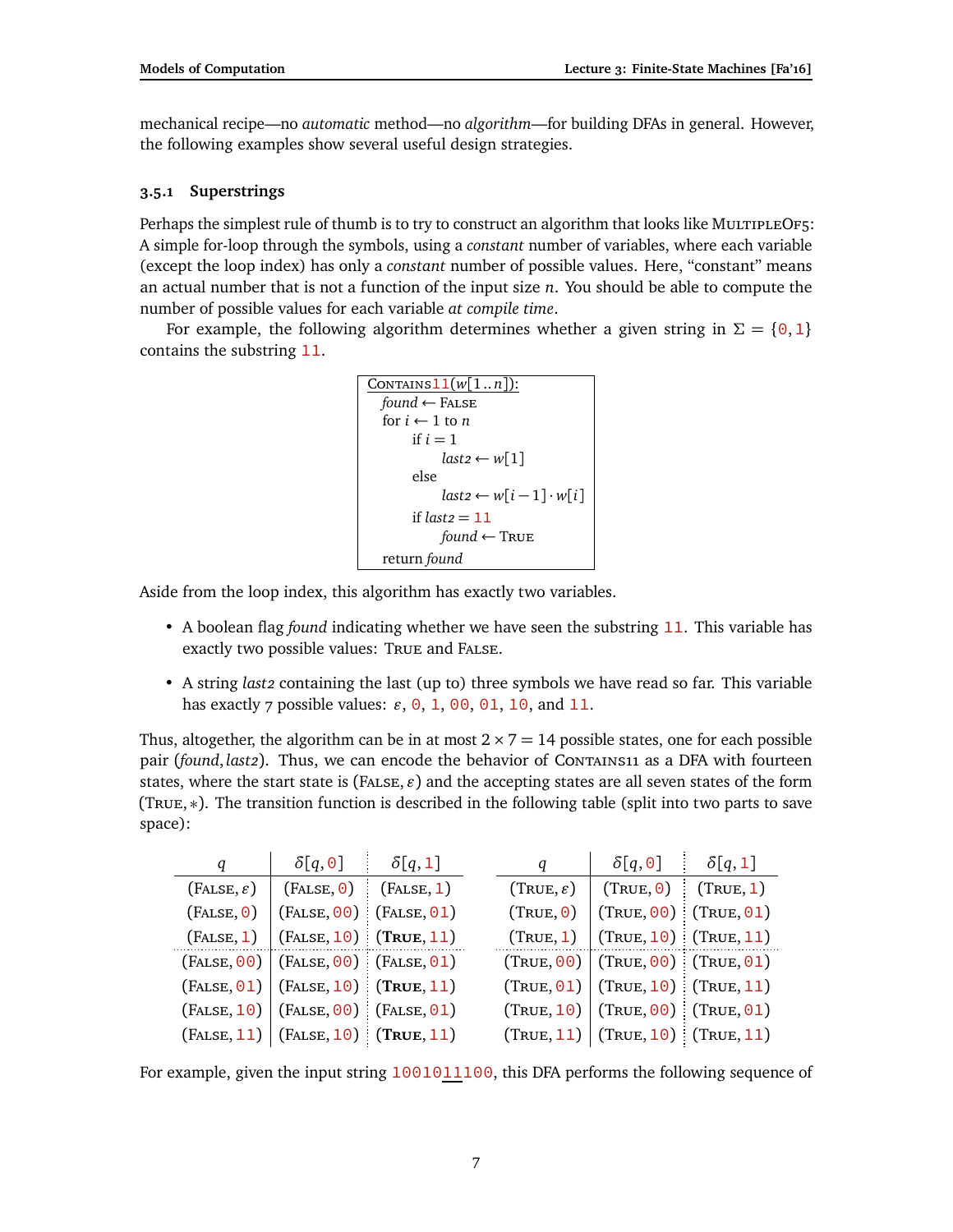mechanical recipe—no *automatic* method—no *algorithm*—for building DFAs in general. However, the following examples show several useful design strategies.

#### **3.5.1 Superstrings**

Perhaps the simplest rule of thumb is to try to construct an algorithm that looks like MULTIPLEOF5: A simple for-loop through the symbols, using a *constant* number of variables, where each variable (except the loop index) has only a *constant* number of possible values. Here, "constant" means an actual number that is not a function of the input size *n*. You should be able to compute the number of possible values for each variable *at compile time*.

For example, the following algorithm determines whether a given string in  $\Sigma = \{0, 1\}$ contains the substring 11.

```
CONTAINS11(w[1..n]):
  found \leftarrow FALSE
  for i \leftarrow 1 to n
       if i = 1last2 ← w[1]else
             last2 ← w[i-1] \cdot w[i]if last2 = 11found \leftarrow \text{TRUE}return found
```
Aside from the loop index, this algorithm has exactly two variables.

- A boolean flag *found* indicating whether we have seen the substring 11. This variable has exactly two possible values: True and False.
- A string *last2* containing the last (up to) three symbols we have read so far. This variable has exactly 7 possible values:  $\varepsilon$ ,  $\theta$ , 1,  $\theta$  $\theta$ ,  $\theta$ 1, 1 $\theta$ , and 11.

Thus, altogether, the algorithm can be in at most  $2 \times 7 = 14$  possible states, one for each possible pair (found, last2). Thus, we can encode the behavior of CONTAINS11 as a DFA with fourteen states, where the start state is  $(F_{\text{ALSE}, \varepsilon})$  and the accepting states are all seven states of the form (True, ∗). The transition function is described in the following table (split into two parts to save space):

| q                      | $\delta[q, \Theta]$                       | $\delta[q,1]$                              | q                     | $\delta[q, \mathbf{\Theta}]$                    | $\delta[q,1]$ |
|------------------------|-------------------------------------------|--------------------------------------------|-----------------------|-------------------------------------------------|---------------|
| $(FALSE, \varepsilon)$ | (FALSE, 0)                                | $(F{\rm ALSE}, 1)$<br>$\ddot{\phantom{a}}$ | $(TRUE, \varepsilon)$ | $(TRUE, 0)$ $(TRUE, 1)$                         |               |
| $(F{\text{ALE}}, 0)$   |                                           | $(F{\text{ALSE}}, 00)$ (FALSE, 01)         | (TRUE, 0)             | $(TRUE, 00)$ $(TRUE, 01)$                       |               |
| $(F{\rm ALSE}, 1)$     | $(FALSE, 10)$ $(TRUE, 11)$                |                                            |                       | $(TRUE, 1)$ $(TRUE, 10)$ $(TRUE, 11)$           |               |
|                        | $(FALSE, 00)   (FALSE, 00)   (FALSE, 01)$ |                                            |                       | $(TRUE, 00)$ $(TRUE, 00)$ $(TRUE, 01)$          |               |
|                        | $(FALSE, 01)   (FALSE, 10)   (TRUE, 11)$  |                                            |                       | $(TRUE, 01)$ (TRUE, 10) (TRUE, 11)              |               |
|                        | $(FALSE, 10)   (FALSE, 00)   (FALSE, 01)$ |                                            |                       | $(TRUE, 10)$ $(TRUE, 00)$ $(TRUE, 01)$          |               |
|                        | $(FALSE, 11)   (FALSE, 10)   (TRUE, 11)$  |                                            |                       | $(T_{RUE}, 11)   (T_{RUE}, 10)   (T_{RUE}, 11)$ |               |

For example, given the input string 1001011100, this DFA performs the following sequence of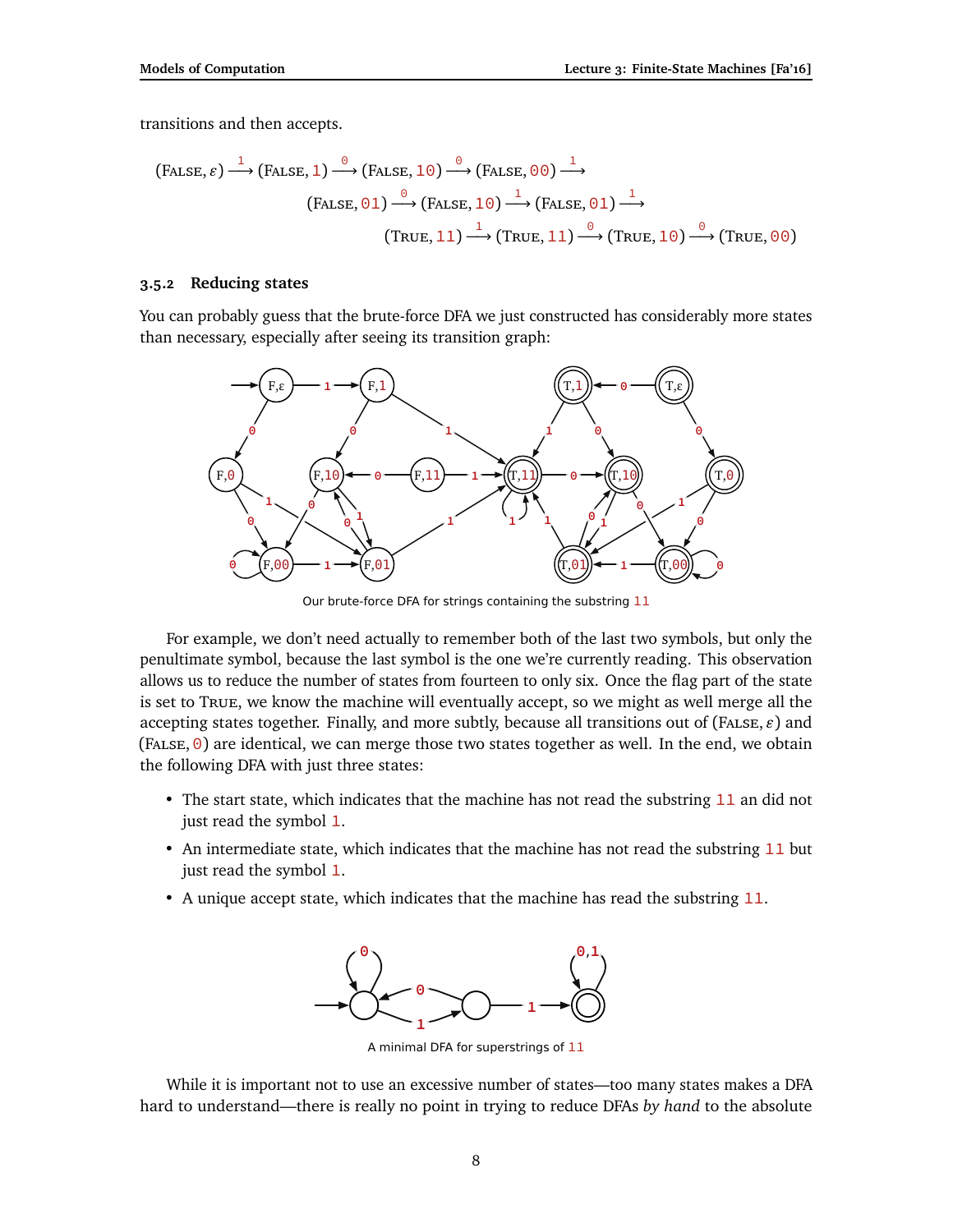transitions and then accepts.

$$
\begin{aligned}\n\text{(FALSE, } \varepsilon) &\xrightarrow{1} \text{(FALSE, 1)} \xrightarrow{\theta} \text{(FALSE, 10)} \xrightarrow{\theta} \text{(FALSE, 00)} \xrightarrow{1} \\
\text{(FALSE, 01)} &\xrightarrow{\theta} \text{(FALSE, 10)} \xrightarrow{1} \text{(FALSE, 01)} \xrightarrow{1} \\
\text{(TRUE, 11)} &\xrightarrow{1} \text{(TRUE, 11)} \xrightarrow{\theta} \text{(TRUE, 10)} \xrightarrow{\theta} \text{(TRUE, 00)}\n\end{aligned}
$$

#### **3.5.2 Reducing states**

You can probably guess that the brute-force DFA we just constructed has considerably more states than necessary, especially after seeing its transition graph:



Our brute-force DFA for strings containing the substring 11

For example, we don't need actually to remember both of the last two symbols, but only the penultimate symbol, because the last symbol is the one we're currently reading. This observation allows us to reduce the number of states from fourteen to only six. Once the flag part of the state is set to True, we know the machine will eventually accept, so we might as well merge all the accepting states together. Finally, and more subtly, because all transitions out of (FALSE,  $\varepsilon$ ) and (FALSE,  $\Theta$ ) are identical, we can merge those two states together as well. In the end, we obtain the following DFA with just three states:

- The start state, which indicates that the machine has not read the substring 11 an did not just read the symbol 1.
- An intermediate state, which indicates that the machine has not read the substring 11 but just read the symbol 1.
- A unique accept state, which indicates that the machine has read the substring 11.



A minimal DFA for superstrings of 11

While it is important not to use an excessive number of states—too many states makes a DFA hard to understand—there is really no point in trying to reduce DFAs *by hand* to the absolute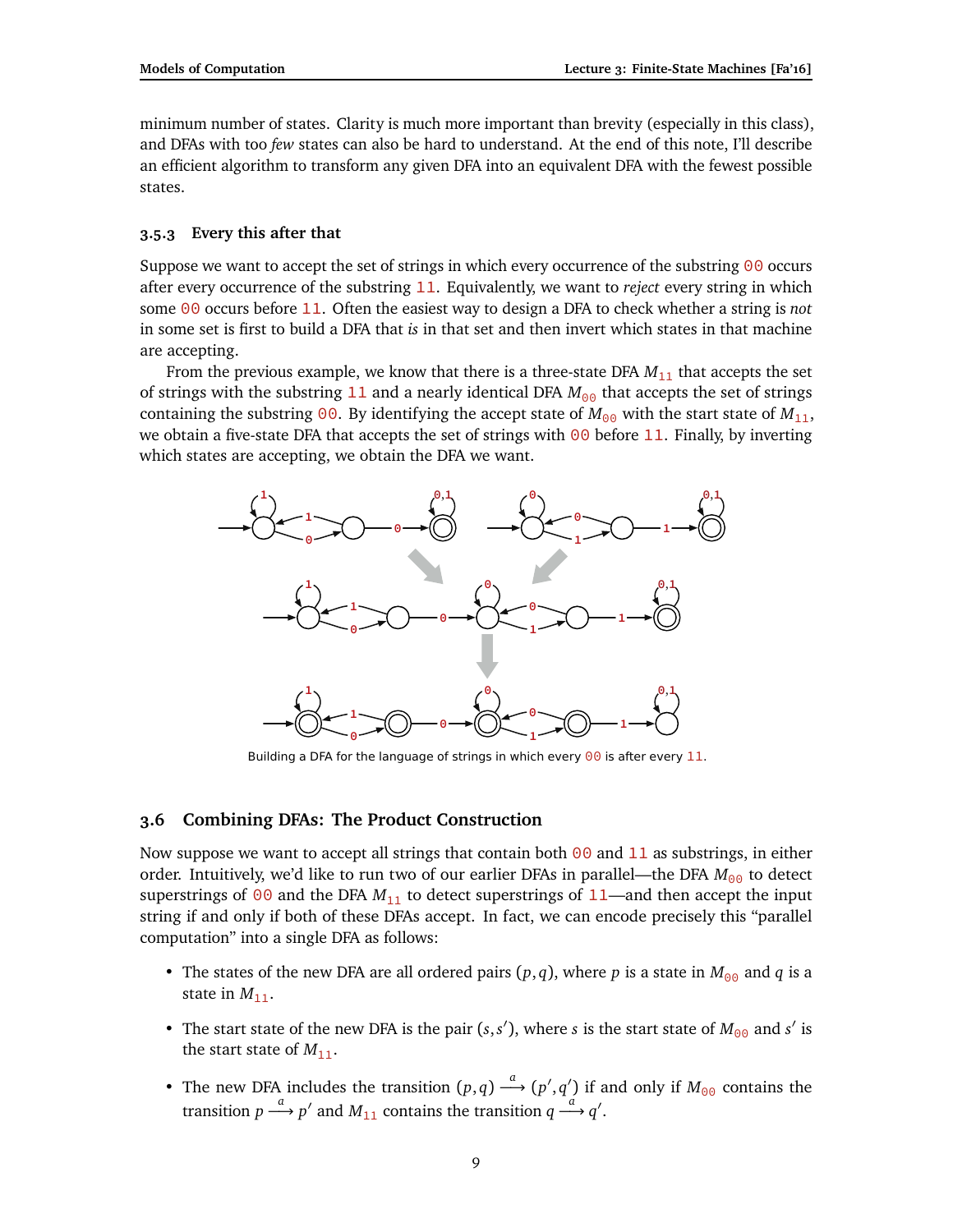minimum number of states. Clarity is much more important than brevity (especially in this class), and DFAs with too *few* states can also be hard to understand. At the end of this note, I'll describe an efficient algorithm to transform any given DFA into an equivalent DFA with the fewest possible states.

#### **3.5.3 Every this after that**

Suppose we want to accept the set of strings in which every occurrence of the substring  $\theta\theta$  occurs after every occurrence of the substring 11. Equivalently, we want to *reject* every string in which some 00 occurs before 11. Often the easiest way to design a DFA to check whether a string is *not* in some set is first to build a DFA that *is* in that set and then invert which states in that machine are accepting.

From the previous example, we know that there is a three-state DFA  $M_{11}$  that accepts the set of strings with the substring  $11$  and a nearly identical DFA  $M_{00}$  that accepts the set of strings containing the substring  $\theta\theta$ . By identifying the accept state of  $M_{\theta\theta}$  with the start state of  $M_{11}$ , we obtain a five-state DFA that accepts the set of strings with 00 before 11. Finally, by inverting which states are accepting, we obtain the DFA we want.



Building a DFA for the language of strings in which every  $00$  is after every  $11$ .

#### **3.6 Combining DFAs: The Product Construction**

Now suppose we want to accept all strings that contain both  $\theta\theta$  and 11 as substrings, in either order. Intuitively, we'd like to run two of our earlier DFAs in parallel—the DFA  $M_{00}$  to detect superstrings of  $00$  and the DFA  $M_{11}$  to detect superstrings of 11—and then accept the input string if and only if both of these DFAs accept. In fact, we can encode precisely this "parallel computation" into a single DFA as follows:

- The states of the new DFA are all ordered pairs  $(p,q)$ , where p is a state in  $M_{\rho_0}$  and q is a state in  $M_{11}$ .
- The start state of the new DFA is the pair  $(s, s')$ , where *s* is the start state of  $M_{00}$  and  $s'$  is the start state of  $M_{11}$ .
- The new DFA includes the transition  $(p,q) \stackrel{a}{\longrightarrow} (p',q')$  if and only if  $M_{00}$  contains the transition  $p \stackrel{a}{\longrightarrow} p'$  and  $M_{11}$  contains the transition  $q \stackrel{a}{\longrightarrow} q'$ .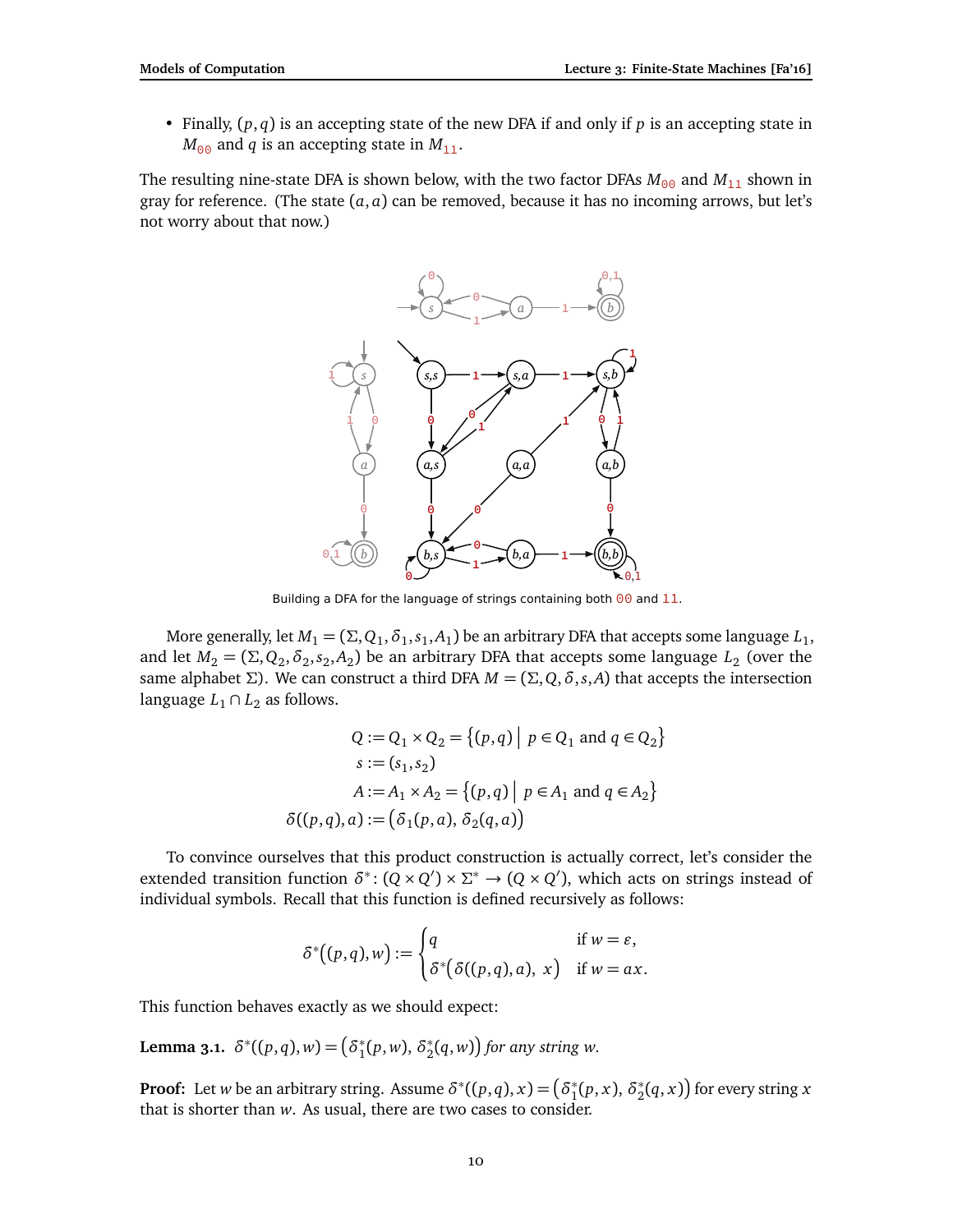• Finally, (*p*, *q*) is an accepting state of the new DFA if and only if *p* is an accepting state in  $M_{\odot}$  and *q* is an accepting state in  $M_{11}$ .

The resulting nine-state DFA is shown below, with the two factor DFAs  $M_{00}$  and  $M_{11}$  shown in gray for reference. (The state  $(a, a)$  can be removed, because it has no incoming arrows, but let's not worry about that now.)



Building a DFA for the language of strings containing both  $00$  and  $11$ .

More generally, let  $M_1 = (\Sigma, Q_1, \delta_1, s_1, A_1)$  be an arbitrary DFA that accepts some language  $L_1,$ and let  $M_2 = (\Sigma, Q_2, \delta_2, s_2, A_2)$  be an arbitrary DFA that accepts some language  $L_2$  (over the same alphabet *Σ*). We can construct a third DFA  $M = (\Sigma, Q, \delta, s, A)$  that accepts the intersection language  $L_1 \cap L_2$  as follows.

$$
Q := Q_1 \times Q_2 = \{(p,q) \mid p \in Q_1 \text{ and } q \in Q_2\}
$$

$$
s := (s_1, s_2)
$$

$$
A := A_1 \times A_2 = \{(p,q) \mid p \in A_1 \text{ and } q \in A_2\}
$$

$$
\delta((p,q),a) := (\delta_1(p,a), \delta_2(q,a))
$$

To convince ourselves that this product construction is actually correct, let's consider the extended transition function  $\delta^*$ :  $(Q \times Q') \times \Sigma^* \to (Q \times Q')$ , which acts on strings instead of individual symbols. Recall that this function is defined recursively as follows:

$$
\delta^*\big((p,q),w\big):=\begin{cases}q & \text{if } w=\varepsilon, \\ \delta^*\big(\delta((p,q),a),x\big) & \text{if } w=a x.\end{cases}
$$

This function behaves exactly as we should expect:

Lemma 3.1.  $\delta^*((p,q), w) = (\delta^*_1)$  $^{*}_{1}(p, w), \delta^{*}_{2}$  $\binom{2}{2}(q, w)$  for any string w.

**Proof:** Let *w* be an arbitrary string. Assume  $\delta^*(p, q), x$  ) =  $(\delta^*_1)$  $i_1^*(p, x)$ ,  $\delta_2^*$  $\binom{2}{2}(q, x)$  for every string *x* that is shorter than *w*. As usual, there are two cases to consider.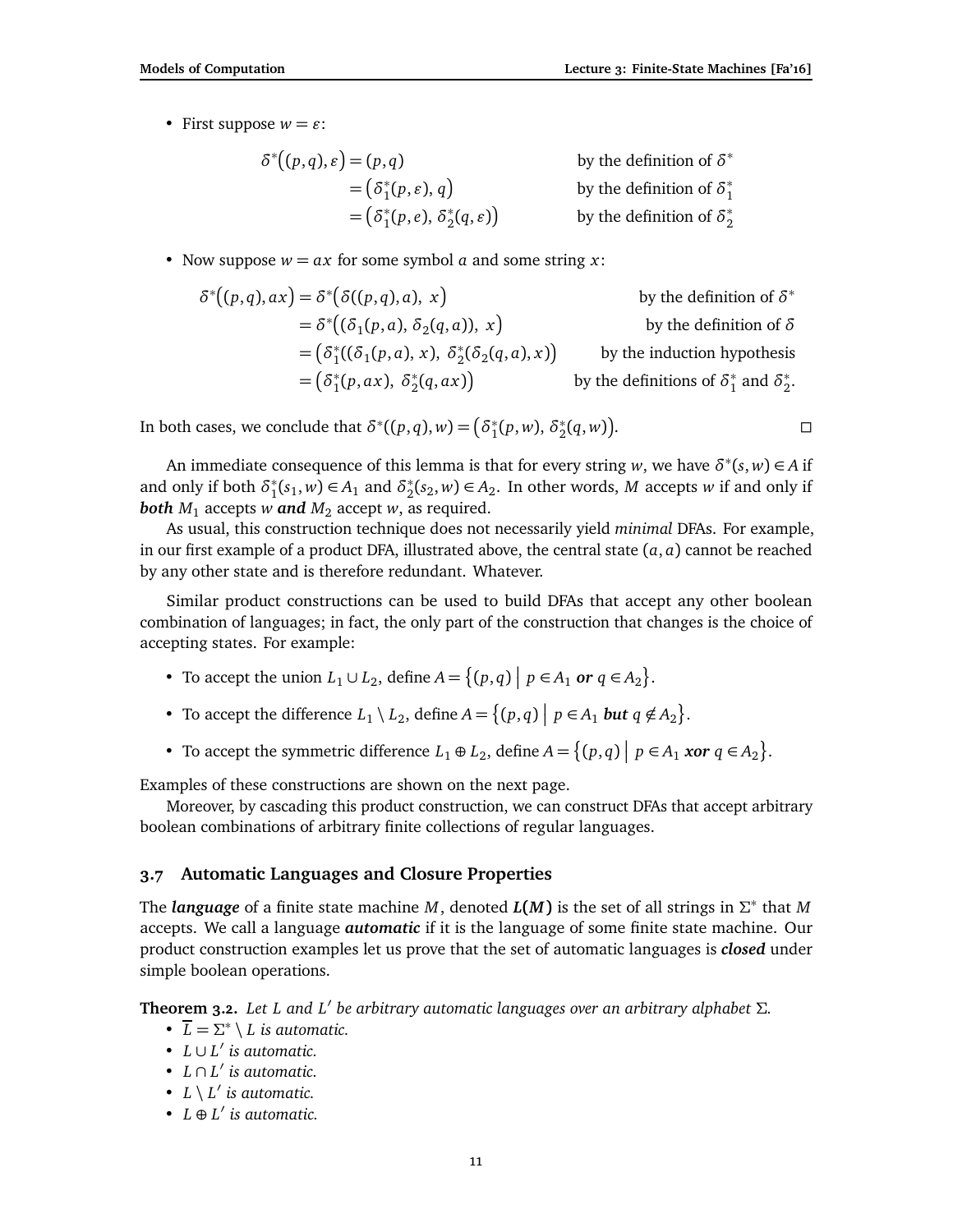• First suppose  $w = \varepsilon$ :

$$
\delta^*\big((p,q),\varepsilon\big) = (p,q) \qquad \text{by the definition of } \delta^* \\
= \big(\delta_1^*(p,\varepsilon), q\big) \\
= \big(\delta_1^*(p,\varepsilon), \delta_2^*(q,\varepsilon)\big) \qquad \text{by the definition of } \delta_2^*
$$

• Now suppose  $w = ax$  for some symbol *a* and some string *x*:

$$
\delta^*\big((p,q),ax\big) = \delta^*\big(\delta((p,q),a),x\big) \qquad \text{by the definition of } \delta^*
$$
\n
$$
= \delta^*\big((\delta_1(p,a), \delta_2(q,a)),x\big) \qquad \text{by the definition of } \delta
$$
\n
$$
= \big(\delta_1^*(\delta_1(p,a),x), \delta_2^*(\delta_2(q,a),x)\big) \qquad \text{by the induction hypothesis}
$$
\n
$$
= \big(\delta_1^*(p,ax), \delta_2^*(q,ax)\big) \qquad \text{by the definitions of } \delta_1^* \text{ and } \delta_2^*.
$$

In both cases, we conclude that  $\delta^*((p,q),w)$   $=$   $(\delta^*_1)$  $^{*}_{1}(p, w), \delta^{*}_{2}$  $_{2}^{*}(q,w)$ . — Видовик Стана и Стана и Стана и Стана и Стана и Стана и Стана и Стана и Стана и Стана и Стана и Стана и Ст<br>В 1910 година и Стана и Стана и Стана и Стана и Стана и Стана и Стана и Стана и Стана и Стана и Стана и Стана

An immediate consequence of this lemma is that for every string *w*, we have  $\delta^*(s, w) \in A$  if and only if both *δ* ∗ <sup>\*</sup><sub>1</sub>(*s*<sub>1</sub>, *w*) ∈ *A*<sub>1</sub> and *δ*<sup>\*</sup><sub>2</sub>  ${}_{2}^{*}(s_{2}, w)$  ∈ *A*<sub>2</sub>. In other words, *M* accepts *w* if and only if *both*  $M_1$  accepts *w* and  $M_2$  accept *w*, as required.

As usual, this construction technique does not necessarily yield *minimal* DFAs. For example, in our first example of a product DFA, illustrated above, the central state  $(a, a)$  cannot be reached by any other state and is therefore redundant. Whatever.

Similar product constructions can be used to build DFAs that accept any other boolean combination of languages; in fact, the only part of the construction that changes is the choice of accepting states. For example:

- To accept the union  $L_1 \cup L_2$ , define  $A = \{(p,q) | p \in A_1 \text{ or } q \in A_2\}.$
- To accept the difference  $L_1 \setminus L_2$ , define  $A = \{(p,q) \mid p \in A_1$  *but*  $q \notin A_2\}$ .
- To accept the symmetric difference  $L_1 \oplus L_2$ , define  $A = \{(p, q) \mid p \in A_1 \text{ xor } q \in A_2\}.$

Examples of these constructions are shown on the next page.

Moreover, by cascading this product construction, we can construct DFAs that accept arbitrary boolean combinations of arbitrary finite collections of regular languages.

#### **3.7 Automatic Languages and Closure Properties**

The *language* of a finite state machine  $M$ , denoted  $\boldsymbol{L}(\boldsymbol{M})$  is the set of all strings in  $\Sigma^*$  that  $M$ accepts. We call a language *automatic* if it is the language of some finite state machine. Our product construction examples let us prove that the set of automatic languages is *closed* under simple boolean operations.

**Theorem 3.2.** Let *L* and *L'* be arbitrary automatic languages over an arbitrary alphabet Σ.

- $\overline{L} = \Sigma^* \setminus L$  *is automatic.*
- *• L* ∪ *L* 0 *is automatic.*
- *• L* ∩ *L* 0 *is automatic.*
- $L \setminus L'$  *is automatic.*
- *• L* ⊕ *L* 0 *is automatic.*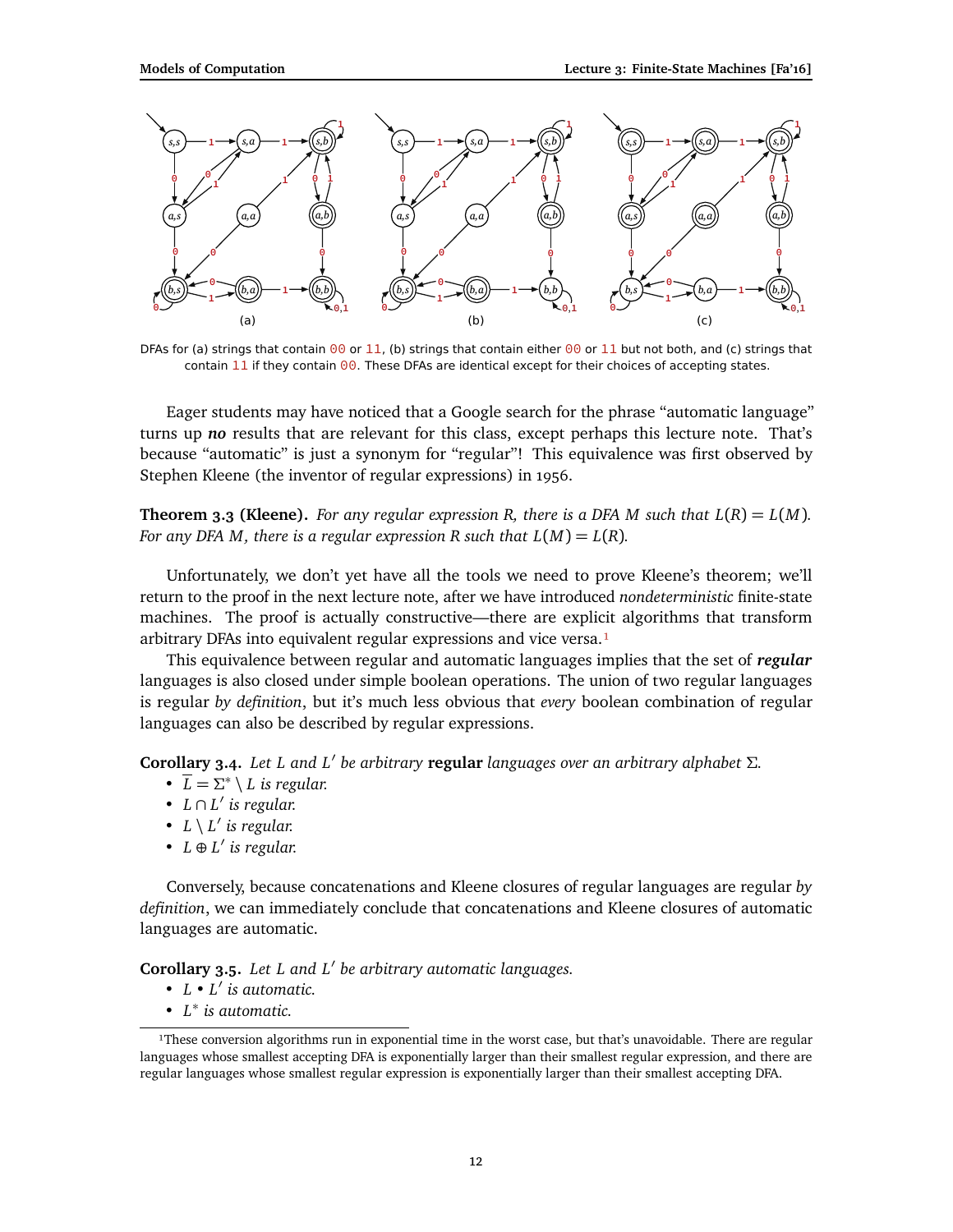

DFAs for (a) strings that contain  $00$  or 11, (b) strings that contain either  $00$  or 11 but not both, and (c) strings that contain  $11$  if they contain 00. These DFAs are identical except for their choices of accepting states.

Eager students may have noticed that a Google search for the phrase "automatic language" turns up *no* results that are relevant for this class, except perhaps this lecture note. That's because "automatic" is just a synonym for "regular"! This equivalence was first observed by Stephen Kleene (the inventor of regular expressions) in 1956.

<span id="page-11-1"></span>**Theorem 3.3 (Kleene).** For any regular expression R, there is a DFA M such that  $L(R) = L(M)$ . *For any DFA M, there is a regular expression R such that*  $L(M) = L(R)$ *.* 

Unfortunately, we don't yet have all the tools we need to prove Kleene's theorem; we'll return to the proof in the next lecture note, after we have introduced *nondeterministic* finite-state machines. The proof is actually constructive—there are explicit algorithms that transform arbitrary DFAs into equivalent regular expressions and vice versa.<sup>1</sup>

This equivalence between regular and automatic languages implies that the set of *regular* languages is also closed under simple boolean operations. The union of two regular languages is regular *by definition*, but it's much less obvious that *every* boolean combination of regular languages can also be described by regular expressions.

**Corollary 3.4.** *Let L and L* 0 *be arbitrary* **regular** *languages over an arbitrary alphabet Σ.*

- $\overline{L} = \Sigma^* \setminus L$  *is regular.*
- *• L* ∩ *L* 0 *is regular.*
- $L \setminus L'$  *is regular.*
- *• L* ⊕ *L* 0 *is regular.*

Conversely, because concatenations and Kleene closures of regular languages are regular *by definition*, we can immediately conclude that concatenations and Kleene closures of automatic languages are automatic.

**Corollary 3.5.** *Let L and L* 0 *be arbitrary automatic languages.*

- *• L L* 0 *is automatic.*
- *• L* ∗ *is automatic.*

<span id="page-11-0"></span><sup>&</sup>lt;sup>1</sup>These conversion algorithms run in exponential time in the worst case, but that's unavoidable. There are regular languages whose smallest accepting DFA is exponentially larger than their smallest regular expression, and there are regular languages whose smallest regular expression is exponentially larger than their smallest accepting DFA.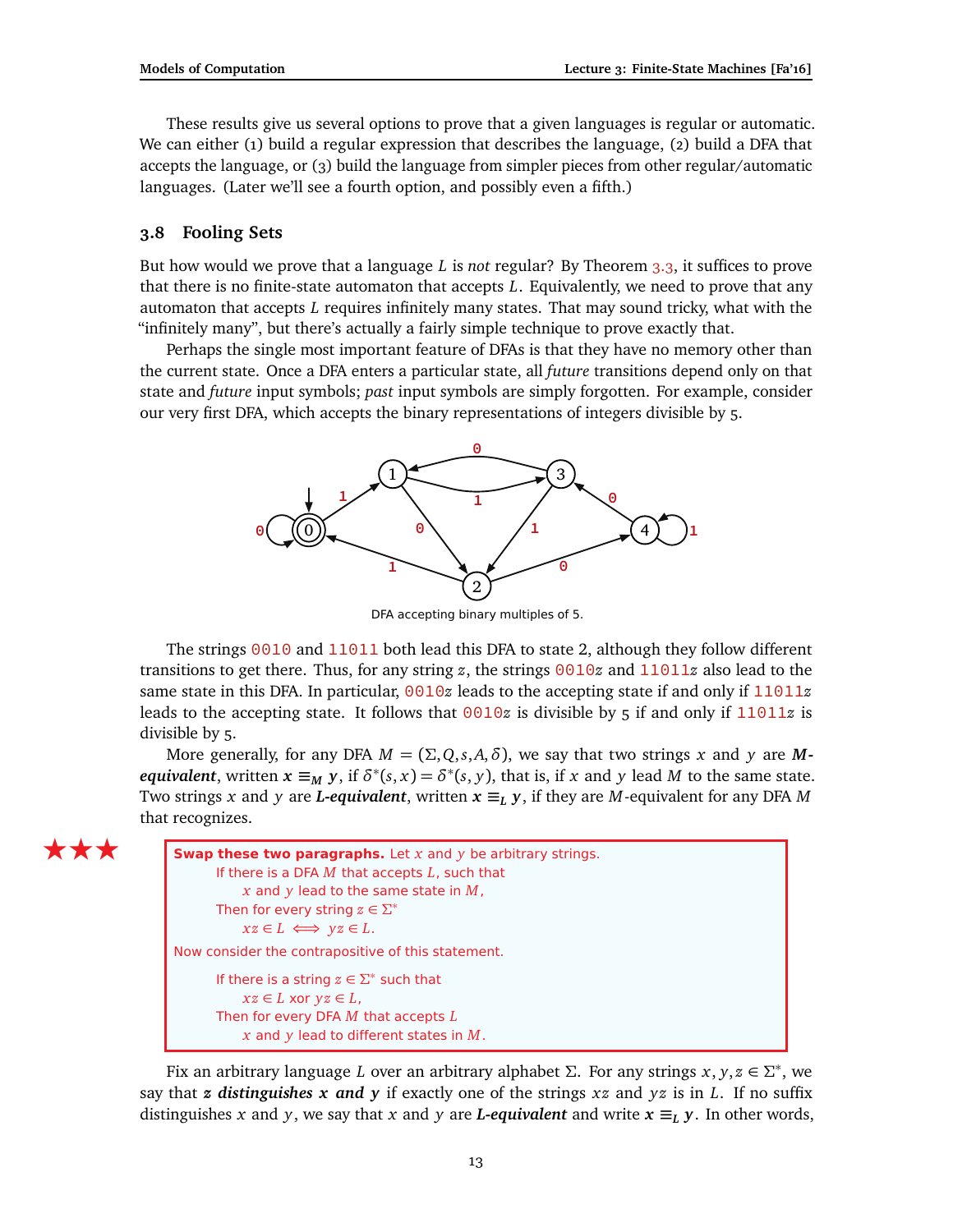These results give us several options to prove that a given languages is regular or automatic. We can either (1) build a regular expression that describes the language, (2) build a DFA that accepts the language, or (3) build the language from simpler pieces from other regular/automatic languages. (Later we'll see a fourth option, and possibly even a fifth.)

## **3.8 Fooling Sets**

But how would we prove that a language *L* is *not* regular? By Theorem [3.3,](#page-11-1) it suffices to prove that there is no finite-state automaton that accepts *L*. Equivalently, we need to prove that any automaton that accepts *L* requires infinitely many states. That may sound tricky, what with the "infinitely many", but there's actually a fairly simple technique to prove exactly that.

Perhaps the single most important feature of DFAs is that they have no memory other than the current state. Once a DFA enters a particular state, all *future* transitions depend only on that state and *future* input symbols; *past* input symbols are simply forgotten. For example, consider our very first DFA, which accepts the binary representations of integers divisible by 5.



DFA accepting binary multiples of 5.

The strings 0010 and 11011 both lead this DFA to state 2, although they follow different transitions to get there. Thus, for any string *z*, the strings 0010*z* and 11011*z* also lead to the same state in this DFA. In particular, 0010*z* leads to the accepting state if and only if 11011*z* leads to the accepting state. It follows that 0010*z* is divisible by 5 if and only if 11011*z* is divisible by 5.

More generally, for any DFA  $M = (\Sigma, Q, s, A, \delta)$ , we say that two strings x and y are M*equivalent*, written  $x \equiv_M y$ , if  $\delta^*(s, x) = \delta^*(s, y)$ , that is, if *x* and *y* lead *M* to the same state. Two strings *x* and *y* are *L-equivalent*, written *x* **≡***<sup>L</sup> y*, if they are *M*-equivalent for any DFA *M* that recognizes.

```
Swap these two paragraphs. Let x and y be arbitrary strings.
      If there is a DFA M that accepts L, such that
          x and y lead to the same state in M,
      Then for every string z ∈ Σ
∗
          xz \in L \iff yz \in L.
Now consider the contrapositive of this statement.
      If there is a string z \in \Sigma^* such that
          xz \in L xor yz \in L,
      Then for every DFA M that accepts L
          x and y lead to different states in M.
```
Fix an arbitrary language *L* over an arbitrary alphabet *Σ*. For any strings *x*, *y*, *z* ∈ *Σ* ∗ , we say that *z distinguishes x and y* if exactly one of the strings *xz* and *yz* is in *L*. If no suffix distinguishes *x* and *y*, we say that *x* and *y* are *L*-equivalent and write  $x \equiv_L y$ . In other words,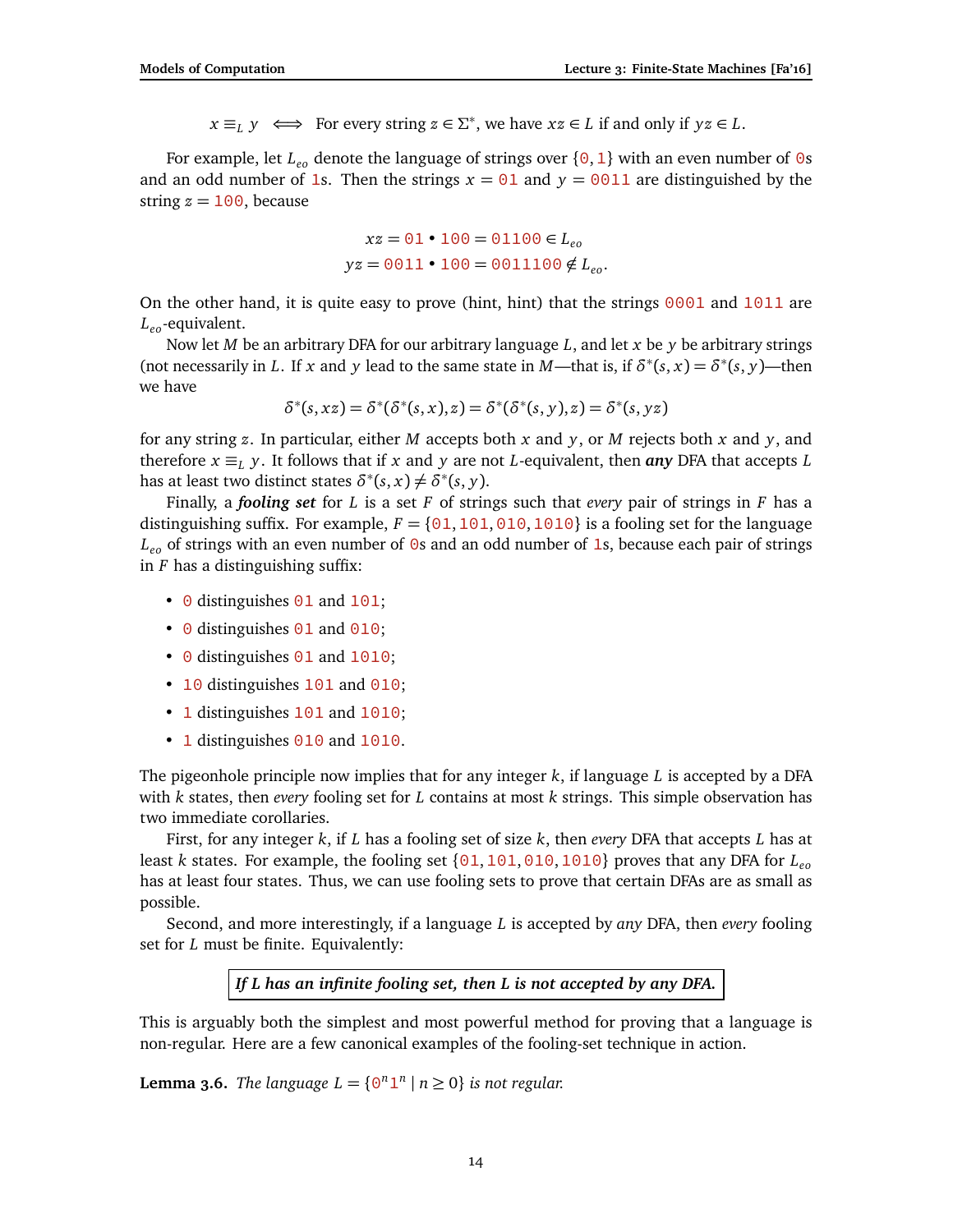$x \equiv_L y \iff$  For every string  $z \in \Sigma^*$ , we have  $xz \in L$  if and only if  $yz \in L$ .

For example, let  $L_{\epsilon_0}$  denote the language of strings over { $0, 1$ } with an even number of 0s and an odd number of 1s. Then the strings  $x = 01$  and  $y = 0011$  are distinguished by the string  $z = 100$ , because

$$
xz = 01 \cdot 100 = 01100 \in L_{eo}
$$
  

$$
yz = 0011 \cdot 100 = 0011100 \notin L_{eo}.
$$

On the other hand, it is quite easy to prove (hint, hint) that the strings  $0001$  and  $1011$  are *Leo*-equivalent.

Now let *M* be an arbitrary DFA for our arbitrary language *L*, and let *x* be *y* be arbitrary strings (not necessarily in *L*. If *x* and *y* lead to the same state in *M*—that is, if  $\delta^*(s, x) = \delta^*(s, y)$ —then we have

$$
\delta^*(s, xz) = \delta^*(\delta^*(s, x), z) = \delta^*(\delta^*(s, y), z) = \delta^*(s, yz)
$$

for any string *z*. In particular, either *M* accepts both *x* and *y*, or *M* rejects both *x* and *y*, and therefore  $x \equiv_L y$ . It follows that if *x* and *y* are not *L*-equivalent, then **any** DFA that accepts *L* has at least two distinct states  $\delta^*(s, x) \neq \delta^*(s, y)$ .

Finally, a *fooling set* for *L* is a set *F* of strings such that *every* pair of strings in *F* has a distinguishing suffix. For example,  $F = \{0.1, 10.1, 0.10, 10.10\}$  is a fooling set for the language  $L_{eq}$  of strings with an even number of  $\theta$ s and an odd number of 1s, because each pair of strings in *F* has a distinguishing suffix:

- 0 distinguishes 01 and 101;
- 0 distinguishes 01 and 010;
- 0 distinguishes 01 and 1010;
- 10 distinguishes 101 and 010;
- 1 distinguishes 101 and 1010;
- 1 distinguishes 010 and 1010.

The pigeonhole principle now implies that for any integer *k*, if language *L* is accepted by a DFA with *k* states, then *every* fooling set for *L* contains at most *k* strings. This simple observation has two immediate corollaries.

First, for any integer *k*, if *L* has a fooling set of size *k*, then *every* DFA that accepts *L* has at least *k* states. For example, the fooling set {01,101,010,1010} proves that any DFA for *Leo* has at least four states. Thus, we can use fooling sets to prove that certain DFAs are as small as possible.

Second, and more interestingly, if a language *L* is accepted by *any* DFA, then *every* fooling set for *L* must be finite. Equivalently:

*If L has an infinite fooling set, then L is not accepted by any DFA.*

This is arguably both the simplest and most powerful method for proving that a language is non-regular. Here are a few canonical examples of the fooling-set technique in action.

**Lemma 3.6.** *The language*  $L = \{0^n 1^n | n \ge 0\}$  *is not regular.*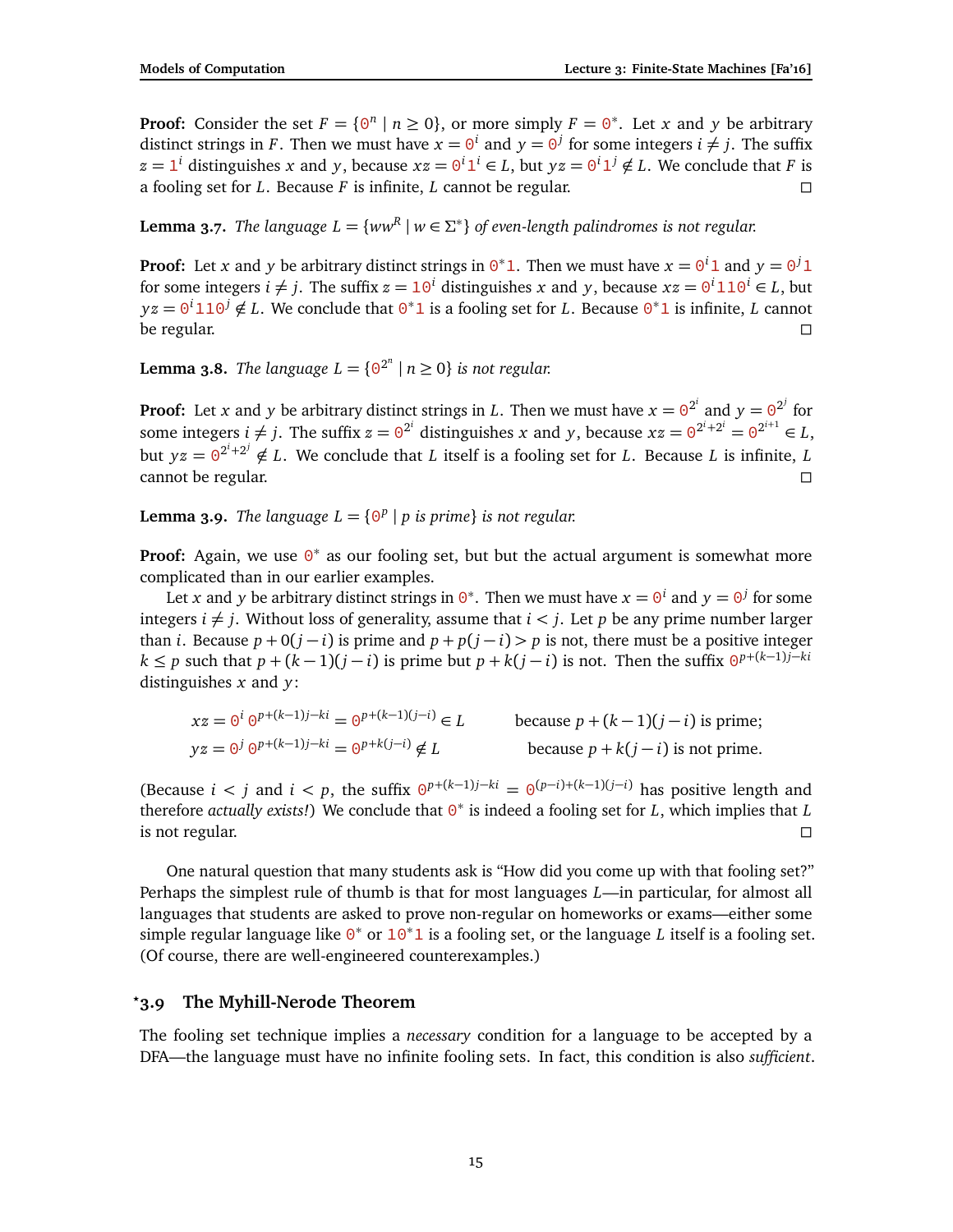**Proof:** Consider the set  $F = \{0^n | n \ge 0\}$ , or more simply  $F = 0^*$ . Let *x* and *y* be arbitrary distinct strings in *F*. Then we must have  $x = \Theta^i$  and  $y = \Theta^j$  for some integers  $i \neq j$ . The suffix  $z = 1^i$  distinguishes *x* and *y*, because  $xz = 0^i 1^i \in L$ , but  $yz = 0^i 1^j \notin L$ . We conclude that *F* is a fooling set for *L*. Because *F* is infinite, *L* cannot be regular.

# **Lemma 3.7.** *The language*  $L = \{ww^R \mid w \in \Sigma^*\}$  *of even-length palindromes is not regular.*

**Proof:** Let *x* and *y* be arbitrary distinct strings in  $0^*1$ . Then we must have  $x = 0^i1$  and  $y = 0^j1$ for some integers  $i \neq j$ . The suffix  $z = 10^i$  distinguishes *x* and *y*, because  $xz = 0^i 110^i \in L$ , but  $yz = 0^i 110^j \notin L$ . We conclude that  $0^*1$  is a fooling set for *L*. Because  $0^*1$  is infinite, *L* cannot be regular.

**Lemma 3.8.** *The language*  $L = \{0^{2^n} \mid n \ge 0\}$  *is not regular.* 

**Proof:** Let *x* and *y* be arbitrary distinct strings in *L*. Then we must have  $x = 0^{2^i}$  and  $y = 0^{2^j}$  for some integers  $i \neq j$ . The suffix  $z = 0^{2^i}$  distinguishes *x* and *y*, because  $xz = 0^{2^i + 2^i} = 0^{2^{i+1}} \in L$ , but  $yz = \theta^{2^i + 2^j} \notin L$ . We conclude that *L* itself is a fooling set for *L*. Because *L* is infinite, *L* cannot be regular.

**Lemma 3.9.** *The language*  $L = \{ \Theta^p | p \text{ is prime} \}$  *is not regular.* 

**Proof:** Again, we use <sup>o</sup> \* as our fooling set, but but the actual argument is somewhat more complicated than in our earlier examples.

Let *x* and *y* be arbitrary distinct strings in  $\Theta^*$ . Then we must have  $x = \Theta^i$  and  $y = \Theta^j$  for some integers  $i \neq j$ . Without loss of generality, assume that  $i < j$ . Let p be any prime number larger than *i*. Because  $p + 0(j - i)$  is prime and  $p + p(j - i) > p$  is not, there must be a positive integer  $k \leq p$  such that  $p + (k-1)(j-i)$  is prime but  $p + k(j-i)$  is not. Then the suffix  $\Theta^{p+(k-1)j-ki}$ distinguishes *x* and *y*:

$$
xz = \Theta^i \Theta^{p+(k-1)j-ki} = \Theta^{p+(k-1)(j-i)} \in L
$$
  
\n
$$
yz = \Theta^j \Theta^{p+(k-1)j-ki} = \Theta^{p+k(j-i)} \notin L
$$
  
\nbecause  $p + k(j-i)$  is not prime.

(Because *i* < *j* and *i* < *p*, the suffix  $\Theta^{p+(k-1)j-ki} = \Theta^{(p-i)+(k-1)(j-i)}$  has positive length and therefore *actually exists!*) We conclude that 0 ∗ is indeed a fooling set for *L*, which implies that *L* is not regular.

One natural question that many students ask is "How did you come up with that fooling set?" Perhaps the simplest rule of thumb is that for most languages *L*—in particular, for almost all languages that students are asked to prove non-regular on homeworks or exams—either some simple regular language like 0<sup>\*</sup> or 10<sup>\*</sup>1 is a fooling set, or the language *L* itself is a fooling set. (Of course, there are well-engineered counterexamples.)

## *?***3.9 The Myhill-Nerode Theorem**

The fooling set technique implies a *necessary* condition for a language to be accepted by a DFA—the language must have no infinite fooling sets. In fact, this condition is also *sufficient*.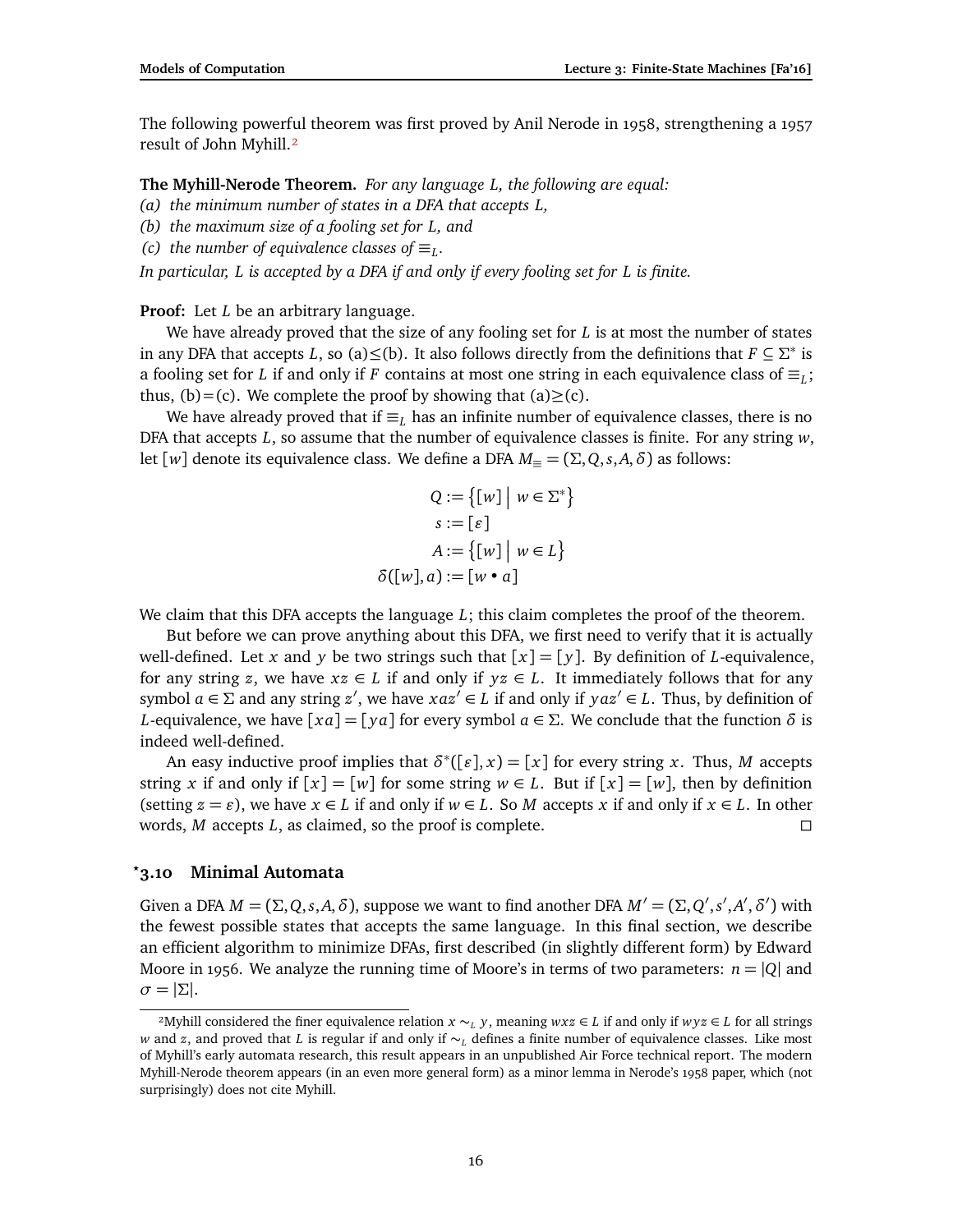The following powerful theorem was first proved by Anil Nerode in 1958, strengthening a 1957 result of John Myhill[.²](#page-15-0)

**The Myhill-Nerode Theorem.** *For any language L, the following are equal:*

- *(a) the minimum number of states in a DFA that accepts L,*
- *(b) the maximum size of a fooling set for L, and*
- *(c)* the number of equivalence classes of  $\equiv_L$ .

*In particular, L is accepted by a DFA if and only if every fooling set for L is finite.*

**Proof:** Let *L* be an arbitrary language.

We have already proved that the size of any fooling set for *L* is at most the number of states in any DFA that accepts *L*, so (a) ≤(b). It also follows directly from the definitions that  $F \subseteq \Sigma^*$  is a fooling set for *L* if and only if *F* contains at most one string in each equivalence class of  $\equiv_L$ ; thus, (b)=(c). We complete the proof by showing that (a) $\geq$ (c).

We have already proved that if  $\equiv_L$  has an infinite number of equivalence classes, there is no DFA that accepts *L*, so assume that the number of equivalence classes is finite. For any string *w*, let [*w*] denote its equivalence class. We define a DFA  $M_{\equiv} = (\Sigma, Q, s, A, \delta)$  as follows:

$$
Q := \{ [w] \mid w \in \Sigma^* \}
$$

$$
s := [ \varepsilon \}
$$

$$
A := \{ [w] \mid w \in L \}
$$

$$
\delta([w], a) := [w \cdot a]
$$

We claim that this DFA accepts the language *L*; this claim completes the proof of the theorem.

But before we can prove anything about this DFA, we first need to verify that it is actually well-defined. Let *x* and *y* be two strings such that  $[x] = [y]$ . By definition of *L*-equivalence, for any string *z*, we have  $xz \in L$  if and only if  $yz \in L$ . It immediately follows that for any symbol  $a \in \Sigma$  and any string  $z'$ , we have  $xaz' \in L$  if and only if  $yaz' \in L$ . Thus, by definition of *L*-equivalence, we have  $[xa] = [ya]$  for every symbol  $a \in \Sigma$ . We conclude that the function  $\delta$  is indeed well-defined.

An easy inductive proof implies that  $\delta^*([\varepsilon], x) = [x]$  for every string *x*. Thus, *M* accepts string *x* if and only if  $[x] = [w]$  for some string  $w \in L$ . But if  $[x] = [w]$ , then by definition (setting  $z = \varepsilon$ ), we have  $x \in L$  if and only if  $w \in L$ . So *M* accepts *x* if and only if  $x \in L$ . In other words, *M* accepts *L*, as claimed, so the proof is complete.

## **3.10 Minimal Automata** *?*

Given a DFA  $M = (\Sigma, Q, s, A, \delta)$ , suppose we want to find another DFA  $M' = (\Sigma, Q', s', A', \delta')$  with the fewest possible states that accepts the same language. In this final section, we describe an efficient algorithm to minimize DFAs, first described (in slightly different form) by Edward Moore in 1956. We analyze the running time of Moore's in terms of two parameters:  $n = |Q|$  and  $\sigma = |\Sigma|$ .

<span id="page-15-0"></span>²Myhill considered the finer equivalence relation *x* ∼*<sup>L</sup> y*, meaning *wxz* ∈ *L* if and only if *w yz* ∈ *L* for all strings *w* and *z*, and proved that *L* is regular if and only if ∼<sub>*L*</sub> defines a finite number of equivalence classes. Like most of Myhill's early automata research, this result appears in an unpublished Air Force technical report. The modern Myhill-Nerode theorem appears (in an even more general form) as a minor lemma in Nerode's 1958 paper, which (not surprisingly) does not cite Myhill.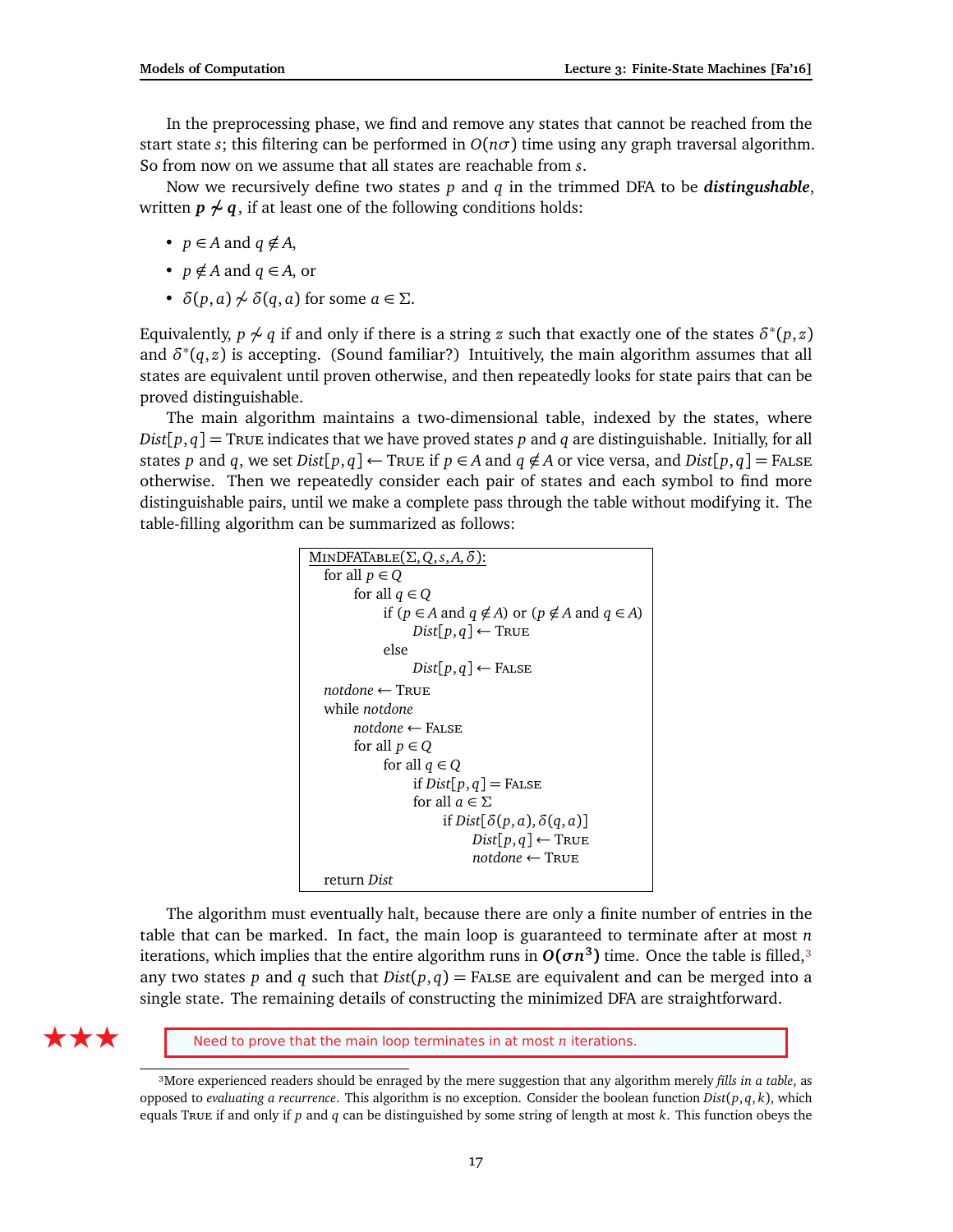In the preprocessing phase, we find and remove any states that cannot be reached from the start state *s*; this filtering can be performed in *O*(*nσ*) time using any graph traversal algorithm. So from now on we assume that all states are reachable from *s*.

Now we recursively define two states *p* and *q* in the trimmed DFA to be *distingushable*, written *p* **6∼** *q*, if at least one of the following conditions holds:

- $p \in A$  and  $q \notin A$ ,
- $p \notin A$  and  $q \in A$ , or
- $\delta(p,a) \nless \delta(q,a)$  for some  $a \in \Sigma$ .

Equivalently,  $p \not\sim q$  if and only if there is a string  $z$  such that exactly one of the states  $\delta^*(p, z)$ and  $\delta^*(q, z)$  is accepting. (Sound familiar?) Intuitively, the main algorithm assumes that all states are equivalent until proven otherwise, and then repeatedly looks for state pairs that can be proved distinguishable.

The main algorithm maintains a two-dimensional table, indexed by the states, where *Dist*[ $p$ ,  $q$ ] = True indicates that we have proved states  $p$  and  $q$  are distinguishable. Initially, for all states *p* and *q*, we set *Dist*[ $p$ ,  $q$ ] ← True if  $p \in A$  and  $q \notin A$  or vice versa, and *Dist*[ $p$ ,  $q$ ] = FALSE otherwise. Then we repeatedly consider each pair of states and each symbol to find more distinguishable pairs, until we make a complete pass through the table without modifying it. The table-filling algorithm can be summarized as follows:

```
MinDFATable(Σ,Q,s,A,δ):
  for all p \in Qfor all q \in Qif (p ∈ A and q ∉ A) or (p ∉ A and q ∈ A)
                  Dist[p, q] \leftarrow \text{TRUE}else
                  Dist[p, q] \leftarrow False
  notdone ← True
  while notdone
       notdone ← False
       for all p \in Qfor all q \in Qif Dist[p, q] = False
                  for all a \in \Sigmaif Dist[δ(p, a),δ(q, a)]
                             Dist[p, q] \leftarrow \text{TRUE}notdone ← True
  return Dist
```
The algorithm must eventually halt, because there are only a finite number of entries in the table that can be marked. In fact, the main loop is guaranteed to terminate after at most  $n$ iterations, which implies that the entire algorithm runs in  $O(\sigma n^3)$  time. Once the table is filled, $^3$ any two states *p* and *q* such that  $Dist(p,q) =$  FALSE are equivalent and can be merged into a single state. The remaining details of constructing the minimized DFA are straightforward.

**★★★** Need to prove that the main loop terminates in at most *n* iterations.

<span id="page-16-0"></span>³More experienced readers should be enraged by the mere suggestion that any algorithm merely *fills in a table*, as opposed to *evaluating a recurrence*. This algorithm is no exception. Consider the boolean function *Dist*(*p*, *q*, *k*), which equals True if and only if *p* and *q* can be distinguished by some string of length at most *k*. This function obeys the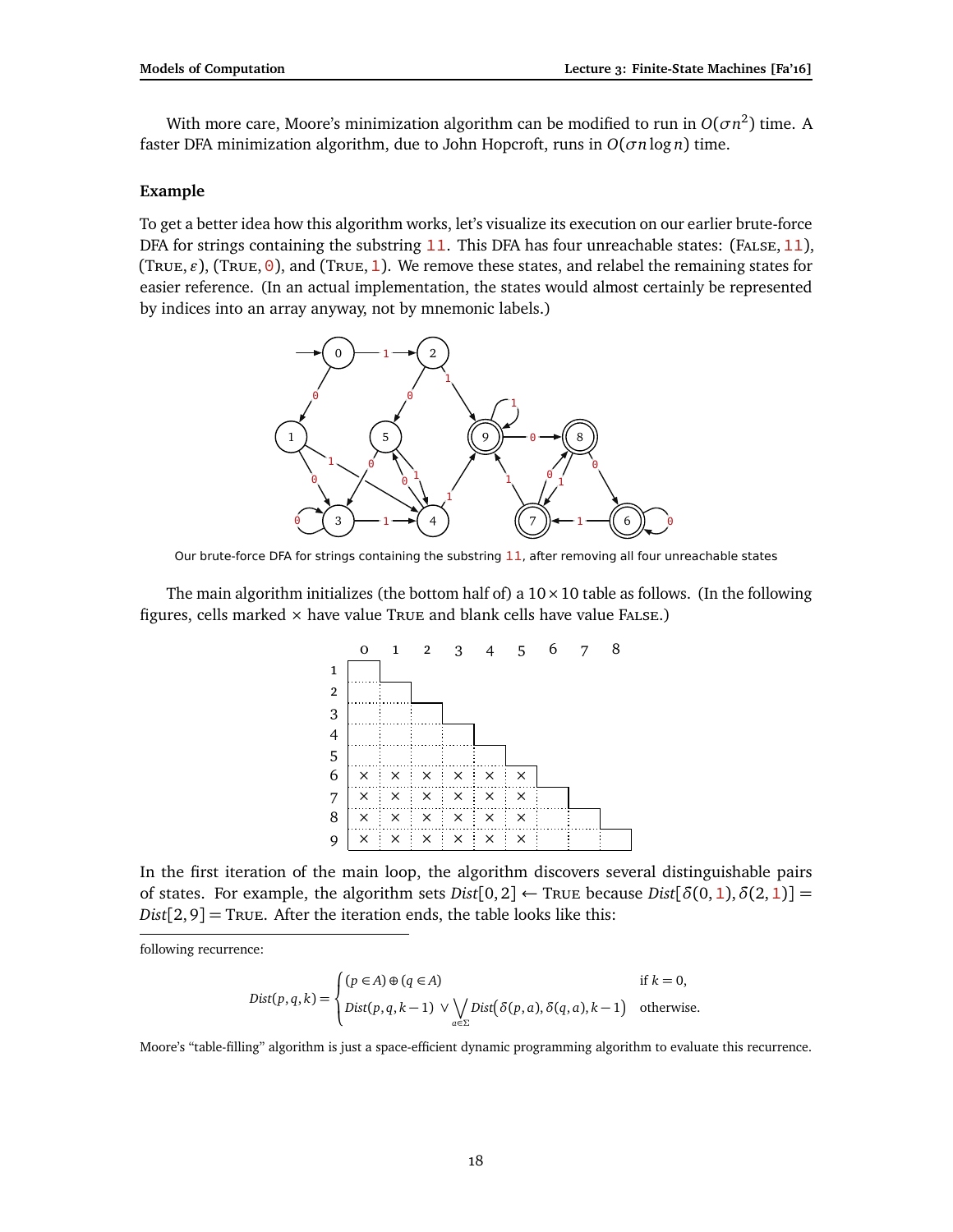With more care, Moore's minimization algorithm can be modified to run in  $O(\sigma n^2)$  time. A faster DFA minimization algorithm, due to John Hopcroft, runs in *O*(*σn* log *n*) time.

#### **Example**

To get a better idea how this algorithm works, let's visualize its execution on our earlier brute-force DFA for strings containing the substring  $11$ . This DFA has four unreachable states: (FALSE, 11), (TRUE,  $\varepsilon$ ), (TRUE, 0), and (TRUE, 1). We remove these states, and relabel the remaining states for easier reference. (In an actual implementation, the states would almost certainly be represented by indices into an array anyway, not by mnemonic labels.)



Our brute-force DFA for strings containing the substring 11, after removing all four unreachable states

The main algorithm initializes (the bottom half of) a  $10 \times 10$  table as follows. (In the following figures, cells marked  $\times$  have value True and blank cells have value FALSE.)



In the first iteration of the main loop, the algorithm discovers several distinguishable pairs of states. For example, the algorithm sets *Dist*[0, 2] ← True because *Dist*[*δ*(0,1),*δ*(2,1)] =  $Dist[2, 9] = True$ . After the iteration ends, the table looks like this:

following recurrence:

$$
Dist(p,q,k) = \begin{cases} (p \in A) \oplus (q \in A) & \text{if } k = 0, \\ Dist(p,q,k-1) \vee \bigvee_{a \in \Sigma} Dist(\delta(p,a), \delta(q,a), k-1) & \text{otherwise.} \end{cases}
$$

Moore's "table-filling" algorithm is just a space-efficient dynamic programming algorithm to evaluate this recurrence.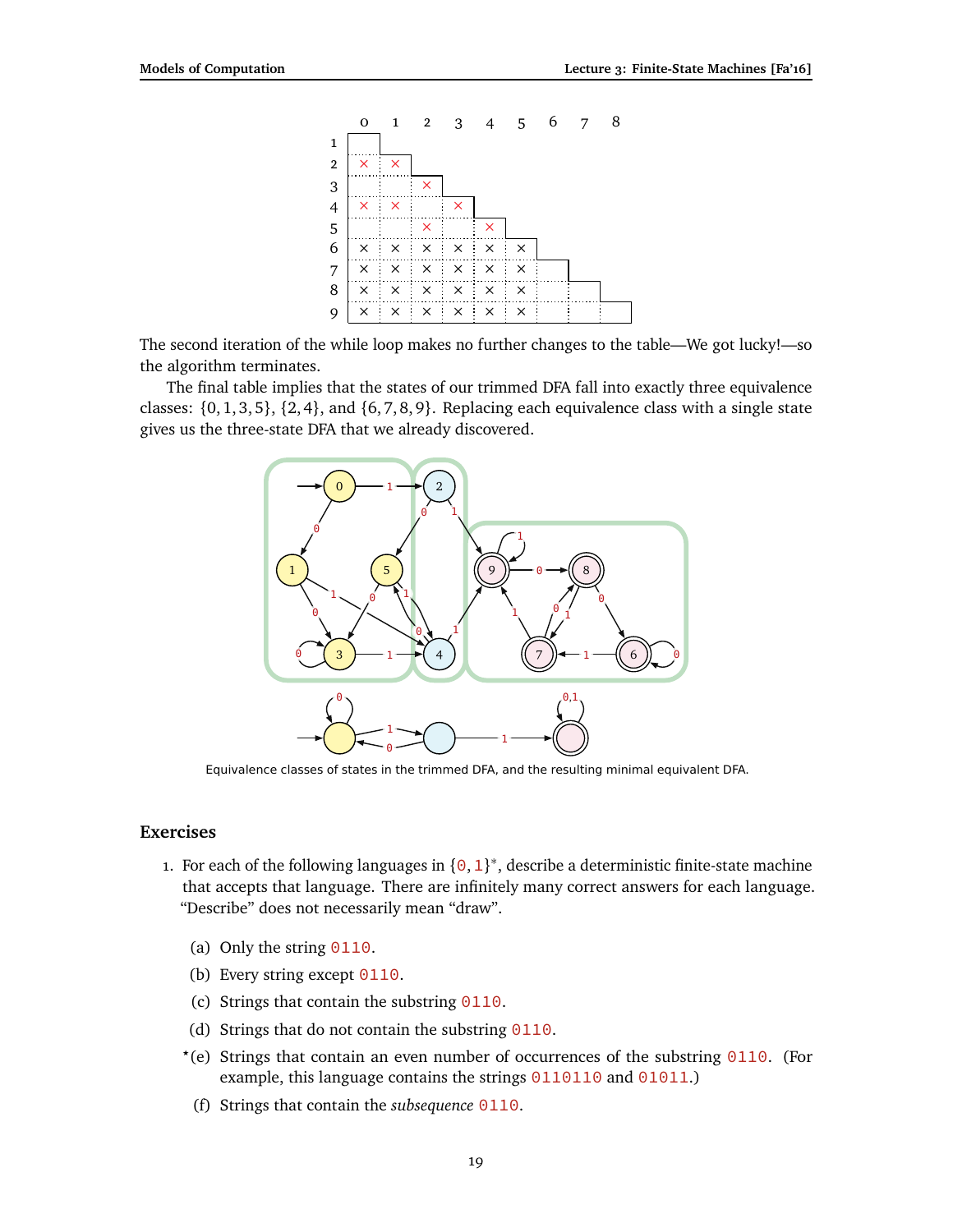

The second iteration of the while loop makes no further changes to the table—We got lucky!—so the algorithm terminates.

The final table implies that the states of our trimmed DFA fall into exactly three equivalence classes:  $\{0, 1, 3, 5\}$ ,  $\{2, 4\}$ , and  $\{6, 7, 8, 9\}$ . Replacing each equivalence class with a single state gives us the three-state DFA that we already discovered.



Equivalence classes of states in the trimmed DFA, and the resulting minimal equivalent DFA.

## **Exercises**

- 1. For each of the following languages in  ${0, 1}^*$ , describe a deterministic finite-state machine that accepts that language. There are infinitely many correct answers for each language. "Describe" does not necessarily mean "draw".
	- (a) Only the string 0110.
	- (b) Every string except 0110.
	- (c) Strings that contain the substring 0110.
	- (d) Strings that do not contain the substring  $\theta$ 110.
	- *?* (e) Strings that contain an even number of occurrences of the substring 0110. (For example, this language contains the strings 0110110 and 01011.)
	- (f) Strings that contain the *subsequence* 0110.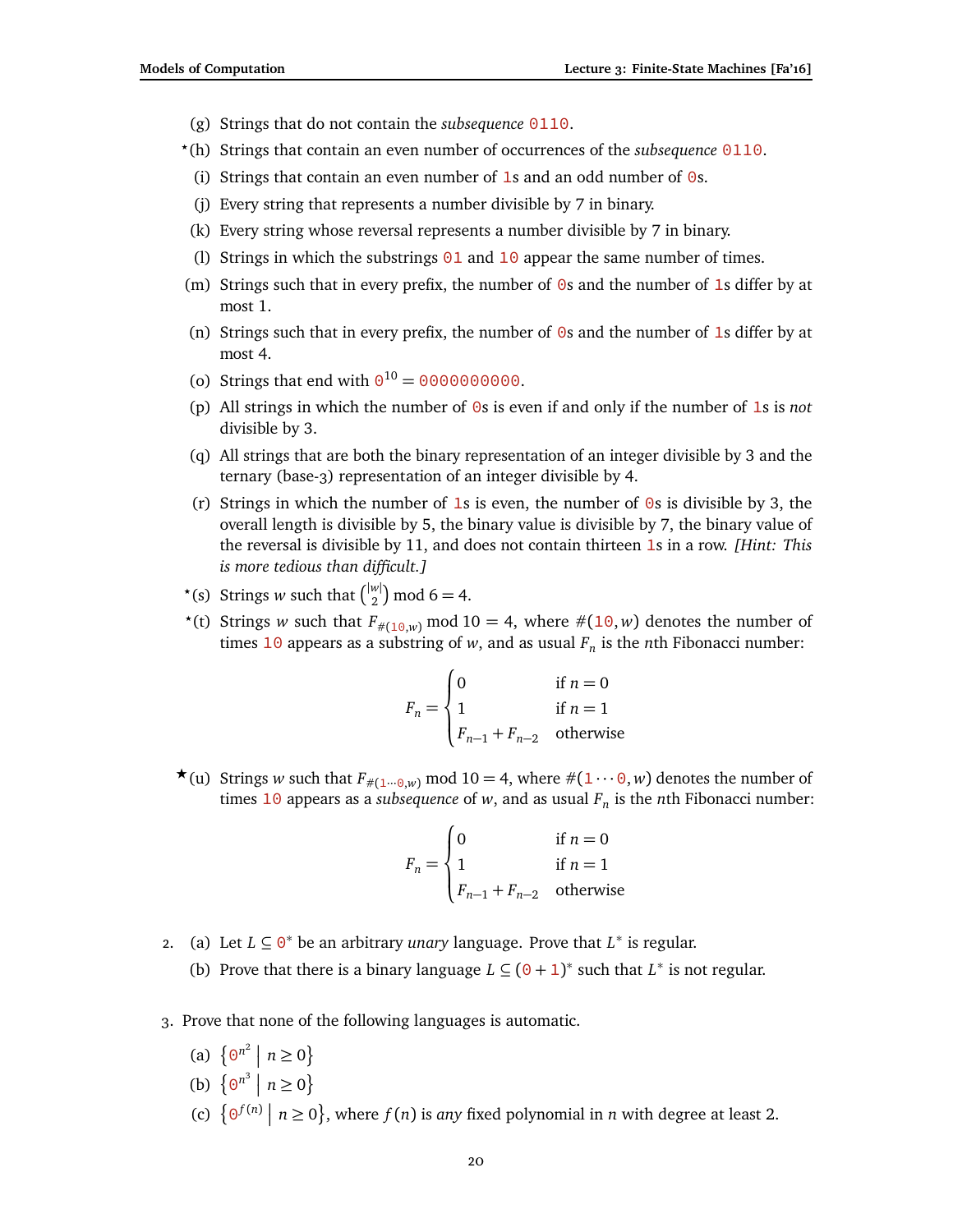- (g) Strings that do not contain the *subsequence* 0110.
- *?* (h) Strings that contain an even number of occurrences of the *subsequence* 0110.
- (i) Strings that contain an even number of  $1s$  and an odd number of  $\Theta s$ .
- (j) Every string that represents a number divisible by 7 in binary.
- (k) Every string whose reversal represents a number divisible by 7 in binary.
- (1) Strings in which the substrings  $\theta$ 1 and 10 appear the same number of times.
- (m) Strings such that in every prefix, the number of  $\ddot{\theta}$ s and the number of 1s differ by at most 1.
- (n) Strings such that in every prefix, the number of  $\theta$ s and the number of 1s differ by at most 4.
- (o) Strings that end with  $0^{10} = 0000000000$ .
- (p) All strings in which the number of 0s is even if and only if the number of 1s is *not* divisible by 3.
- (q) All strings that are both the binary representation of an integer divisible by 3 and the ternary (base-3) representation of an integer divisible by 4.
- (r) Strings in which the number of 1s is even, the number of  $\Theta$ s is divisible by 3, the overall length is divisible by 5, the binary value is divisible by 7, the binary value of the reversal is divisible by 11, and does not contain thirteen 1s in a row. *[Hint: This is more tedious than difficult.]*
- $\star$ (s) Strings *w* such that  $\binom{|w|}{2}$  $_{2}^{\left( w\right) }$  mod 6 = 4.
- <sup>\*</sup>(t) Strings *w* such that  $F_{\#(10,w)}$  mod 10 = 4, where  $\#(10,w)$  denotes the number of times 10 appears as a substring of *w*, and as usual  $F_n$  is the *n*th Fibonacci number:

$$
F_n = \begin{cases} 0 & \text{if } n = 0\\ 1 & \text{if } n = 1\\ F_{n-1} + F_{n-2} & \text{otherwise} \end{cases}
$$

★(u) Strings *w* such that  $F_{\#(\{1\cdots 0,w\}}\text{ mod }10 = 4$ , where  $\#(\{1\cdots 0,w\})$  denotes the number of times  $10$  appears as a *subsequence* of *w*, and as usual  $F_n$  is the *n*th Fibonacci number:

$$
F_n = \begin{cases} 0 & \text{if } n = 0\\ 1 & \text{if } n = 1\\ F_{n-1} + F_{n-2} & \text{otherwise} \end{cases}
$$

- 2. (a) Let  $L ⊆ 0^*$  be an arbitrary *unary* language. Prove that  $L^*$  is regular.
	- (b) Prove that there is a binary language  $L \subseteq (0+1)^*$  such that  $L^*$  is not regular.
- 3. Prove that none of the following languages is automatic.
	- (a)  $\{0^{n^2} \mid n \ge 0\}$
	- (b)  $\{0^{n^3} \mid n \ge 0\}$
	- (c)  $\{0^{f(n)} \mid n \ge 0\}$ , where  $f(n)$  is *any* fixed polynomial in *n* with degree at least 2.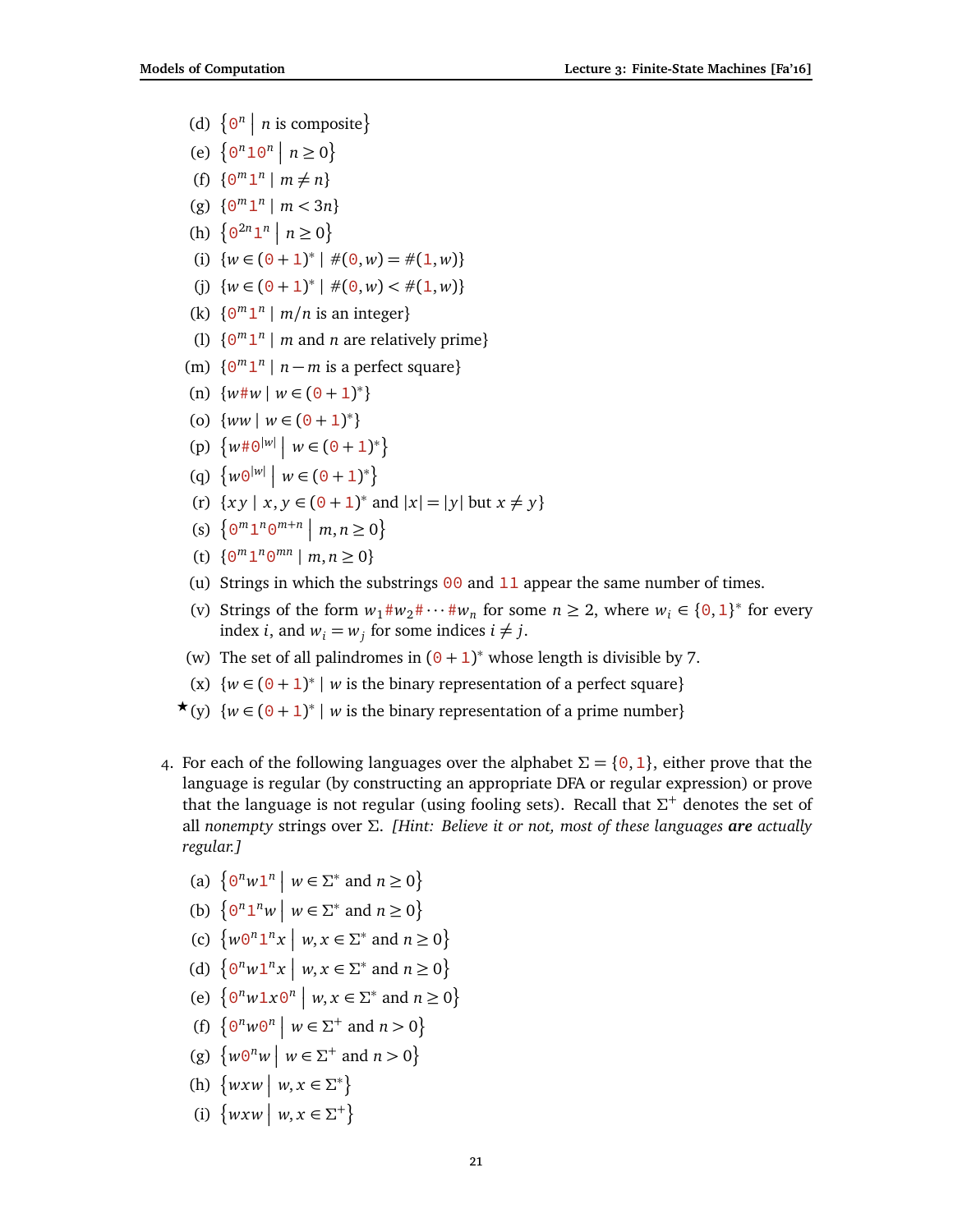- (d)  $\{ \Theta^n \mid n \text{ is composite} \}$
- (e)  $\{0^n 10^n \mid n \ge 0\}$
- (f)  $\{0^m1^n \mid m \neq n\}$
- (g)  $\{ \Theta^m \mathbf{1}^n \mid m < 3n \}$
- (h)  $\{0^{2n}1^n \mid n \ge 0\}$
- (i)  $\{w \in (0+1)^* \mid \#(0, w) = \#(1, w)\}\$
- (j)  $\{w \in (0+1)^* \mid \#(0, w) < \#(1, w)\}$
- (k)  $\{0^m1^n \mid m/n \text{ is an integer}\}$
- (1)  $\{0^m1^n \mid m \text{ and } n \text{ are relatively prime}\}$
- (m)  $\{0^m1^n \mid n-m \text{ is a perfect square}\}$
- (n)  $\{w \# w \mid w \in (\Theta + 1)^*\}$
- (o)  $\{ww \mid w \in (\Theta + 1)^*\}$
- (p)  $\{w \# \Theta^{|w|} \mid w \in (\Theta + 1)^* \}$
- (q)  $\{w0^{|w|} \mid w \in (0+1)^*\}$
- (r)  $\{xy \mid x, y \in (0+1)^* \text{ and } |x| = |y| \text{ but } x \neq y\}$
- (s)  $\{0^m 1^n 0^{m+n} \mid m, n \ge 0\}$
- (t)  $\{0^m 1^n 0^{mn} \mid m, n \ge 0\}$
- (u) Strings in which the substrings  $\theta\theta$  and  $11$  appear the same number of times.
- (v) Strings of the form  $w_1 \# w_2 \# \cdots \# w_n$  for some  $n \geq 2$ , where  $w_i \in \{0, 1\}^*$  for every index *i*, and  $w_i = w_j$  for some indices  $i \neq j$ .
- (w) The set of all palindromes in  $(0 + 1)^*$  whose length is divisible by 7.
- (x)  $\{w \in (0+1)^* \mid w \text{ is the binary representation of a perfect square}\}\$
- **★**(y)  $\{w \in (0+1)^* \mid w \text{ is the binary representation of a prime number}\}$
- 4. For each of the following languages over the alphabet  $\Sigma = \{0, 1\}$ , either prove that the language is regular (by constructing an appropriate DFA or regular expression) or prove that the language is not regular (using fooling sets). Recall that  $\Sigma^+$  denotes the set of all *nonempty* strings over *Σ*. *[Hint: Believe it or not, most of these languages are actually regular.]*
	- (a)  $\left\{ \Theta^n w \mathbf{1}^n \mid w \in \Sigma^* \text{ and } n \ge 0 \right\}$
	- (b)  $\left\{ \Theta^n \mathbf{1}^n w \mid w \in \Sigma^* \text{ and } n \ge 0 \right\}$
	- (c)  $\{w\cdot0^n 1^n x \mid w, x \in \Sigma^* \text{ and } n \ge 0\}$
	- (d)  $\{0^n w1^n x \mid w, x \in \Sigma^* \text{ and } n \ge 0\}$
	- (e)  $\{0^n w 1x0^n \mid w, x \in \Sigma^* \text{ and } n \ge 0\}$
	- (f)  $\left\{ \Theta^n w \Theta^n \mid w \in \Sigma^+ \text{ and } n > 0 \right\}$
	- (g)  $\{w \cdot 0^n w \mid w \in \Sigma^+ \text{ and } n > 0\}$
	- (h)  $\{w x w \mid w, x \in \Sigma^*\}$
	- (i)  $\{ wxw \mid w, x \in \Sigma^+ \}$